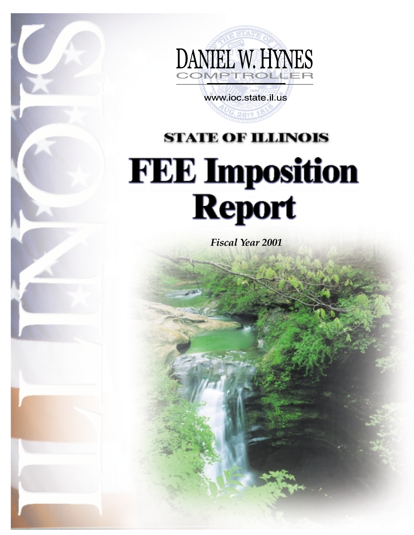

www.ioc.state.il.us

# **STATE OF ILLINOIS FEE Imposition**<br>Report

*Fiscal Year 2001*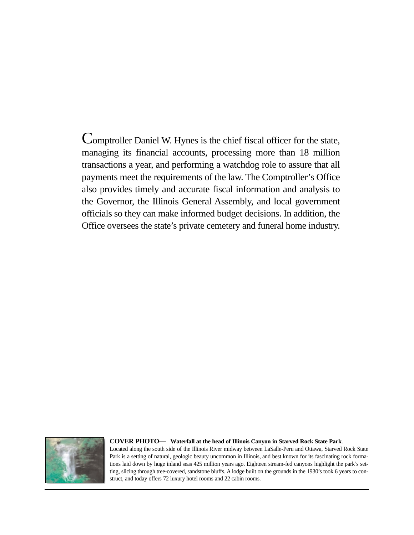Comptroller Daniel W. Hynes is the chief fiscal officer for the state, managing its financial accounts, processing more than 18 million transactions a year, and performing a watchdog role to assure that all payments meet the requirements of the law. The Comptroller's Office also provides timely and accurate fiscal information and analysis to the Governor, the Illinois General Assembly, and local government officials so they can make informed budget decisions. In addition, the Office oversees the state's private cemetery and funeral home industry.



#### **COVER PHOTO— Waterfall at the head of Illinois Canyon in Starved Rock State Park***.*

Located along the south side of the Illinois River midway between LaSalle-Peru and Ottawa, Starved Rock State Park is a setting of natural, geologic beauty uncommon in Illinois, and best known for its fascinating rock formations laid down by huge inland seas 425 million years ago. Eighteen stream-fed canyons highlight the park's setting, slicing through tree-covered, sandstone bluffs. A lodge built on the grounds in the 1930's took 6 years to construct, and today offers 72 luxury hotel rooms and 22 cabin rooms.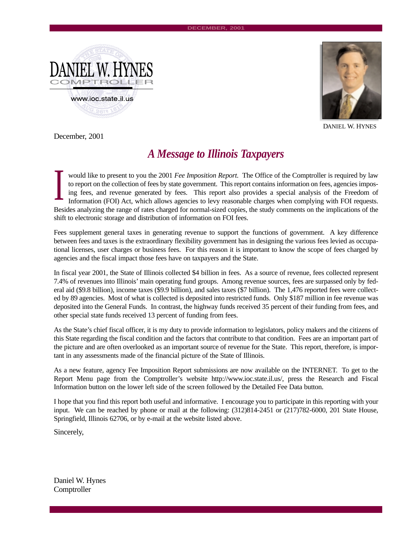



DANIEL W. HYNES

December, 2001

#### *A Message to Illinois Taxpayers*

would like to present to you the 2001 *Fee Imposition Report.* The Office of the Comptroller is required by law to report on the collection of fees by state government. This report contains information on fees, agencies imposing fees, and revenue generated by fees. This report also provides a special analysis of the Freedom of Information (FOI) Act, which allows agencies to levy reasonable charges when complying with FOI requests. Besides analyzing the range of rates charged for normal-sized copies, the study comments on the implications of the shift to electronic storage and distribution of information on FOI fees. I

Fees supplement general taxes in generating revenue to support the functions of government. A key difference between fees and taxes is the extraordinary flexibility government has in designing the various fees levied as occupational licenses, user charges or business fees. For this reason it is important to know the scope of fees charged by agencies and the fiscal impact those fees have on taxpayers and the State.

In fiscal year 2001, the State of Illinois collected \$4 billion in fees. As a source of revenue, fees collected represent 7.4% of revenues into Illinois' main operating fund groups. Among revenue sources, fees are surpassed only by federal aid (\$9.8 billion), income taxes (\$9.9 billion), and sales taxes (\$7 billion). The 1,476 reported fees were collected by 89 agencies. Most of what is collected is deposited into restricted funds. Only \$187 million in fee revenue was deposited into the General Funds. In contrast, the highway funds received 35 percent of their funding from fees, and other special state funds received 13 percent of funding from fees.

As the State's chief fiscal officer, it is my duty to provide information to legislators, policy makers and the citizens of this State regarding the fiscal condition and the factors that contribute to that condition. Fees are an important part of the picture and are often overlooked as an important source of revenue for the State. This report, therefore, is important in any assessments made of the financial picture of the State of Illinois.

As a new feature, agency Fee Imposition Report submissions are now available on the INTERNET. To get to the Report Menu page from the Comptroller's website http://www.ioc.state.il.us/, press the Research and Fiscal Information button on the lower left side of the screen followed by the Detailed Fee Data button.

I hope that you find this report both useful and informative. I encourage you to participate in this reporting with your input. We can be reached by phone or mail at the following: (312)814-2451 or (217)782-6000, 201 State House, Springfield, Illinois 62706, or by e-mail at the website listed above.

Sincerely,

Daniel W. Hynes **Comptroller**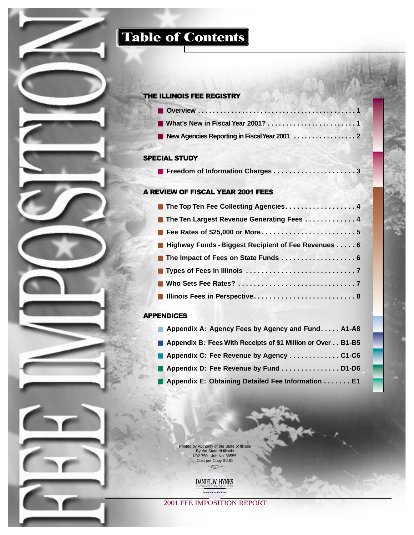## **Table of Contents**

#### THE ILLINOIS FEE REGISTRY

#### SPECIAL STUDY

|--|--|

#### A REVIEW OF FISCAL YEAR 2001 FEES

| ■ The Top Ten Fee Collecting Agencies4                |
|-------------------------------------------------------|
| ■ The Ten Largest Revenue Generating Fees 4           |
|                                                       |
| ■ Highway Funds - Biggest Recipient of Fee Revenues 6 |
| The Impact of Fees on State Funds 6                   |
|                                                       |
|                                                       |
| Illinois Fees in Perspective 8                        |

#### APPENDICES

| Appendix A: Agency Fees by Agency and Fund A1-A8            |  |
|-------------------------------------------------------------|--|
| Appendix B: Fees With Receipts of \$1 Million or Over B1-B5 |  |
| Appendix C: Fee Revenue by Agency C1-C6                     |  |
| Appendix D: Fee Revenue by Fund  D1-D6                      |  |
| Appendix E: Obtaining Detailed Fee Information E1           |  |



Printed by Authority of the State of Illinois By the State of Illinois 1/02 750 Job No. 36555 Cost per Copy \$2.81

DANIEL W. HYNES www.ioc.state.il.us

2001 FEE IMPOSITION REPORT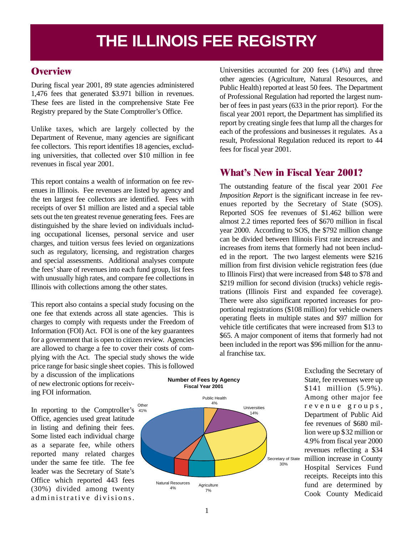# **THE ILLINOIS FEE REGISTRY**

#### **Overview**

During fiscal year 2001, 89 state agencies administered 1,476 fees that generated \$3.971 billion in revenues. These fees are listed in the comprehensive State Fee Registry prepared by the State Comptroller's Office.

Unlike taxes, which are largely collected by the Department of Revenue, many agencies are significant fee collectors. This report identifies 18 agencies, excluding universities, that collected over \$10 million in fee revenues in fiscal year 2001.

This report contains a wealth of information on fee revenues in Illinois. Fee revenues are listed by agency and the ten largest fee collectors are identified. Fees with receipts of over \$1 million are listed and a special table sets out the ten greatest revenue generating fees. Fees are distinguished by the share levied on individuals including occupational licenses, personal service and user charges, and tuition versus fees levied on organizations such as regulatory, licensing, and registration charges and special assessments. Additional analyses compute the fees' share of revenues into each fund group, list fees with unusually high rates, and compare fee collections in Illinois with collections among the other states.

This report also contains a special study focusing on the one fee that extends across all state agencies. This is charges to comply with requests under the Freedom of Information (FOI) Act. FOI is one of the key guarantees for a government that is open to citizen review. Agencies are allowed to charge a fee to cover their costs of complying with the Act. The special study shows the wide price range for basic single sheet copies. This is followed

by a discussion of the implications of new electronic options for receiving FOI information.

In reporting to the Comptroller's 41% Office, agencies used great latitude in listing and defining their fees. Some listed each individual charge as a separate fee, while others reported many related charges under the same fee title. The fee leader was the Secretary of State's Office which reported 443 fees (30%) divided among twenty administrative divisions.



**Number of Fees by Agency**

Universities accounted for 200 fees (14%) and three other agencies (Agriculture, Natural Resources, and Public Health) reported at least 50 fees. The Department of Professional Regulation had reported the largest number of fees in past years (633 in the prior report). For the fiscal year 2001 report, the Department has simplified its report by creating single fees that lump all the charges for each of the professions and businesses it regulates. As a result, Professional Regulation reduced its report to 44 fees for fiscal year 2001.

#### **What's New in Fiscal Year 2001?**

The outstanding feature of the fiscal year 2001 *Fee Imposition Report* is the significant increase in fee revenues reported by the Secretary of State (SOS). Reported SOS fee revenues of \$1.462 billion were almost 2.2 times reported fees of \$670 million in fiscal year 2000. According to SOS, the \$792 million change can be divided between Illinois First rate increases and increases from items that formerly had not been included in the report. The two largest elements were \$216 million from first division vehicle registration fees (due to Illinois First) that were increased from \$48 to \$78 and \$219 million for second division (trucks) vehicle registrations (Illinois First and expanded fee coverage). There were also significant reported increases for proportional registrations (\$108 million) for vehicle owners operating fleets in multiple states and \$97 million for vehicle title certificates that were increased from \$13 to \$65. A major component of items that formerly had not been included in the report was \$96 million for the annual franchise tax.

> Excluding the Secretary of State, fee revenues were up \$141 million (5.9%). Among other major fee revenue groups, Department of Public Aid fee revenues of \$680 million were up \$32 million or 4.9% from fiscal year 2000 revenues reflecting a \$34 million increase in County Hospital Services Fund receipts. Receipts into this fund are determined by Cook County Medicaid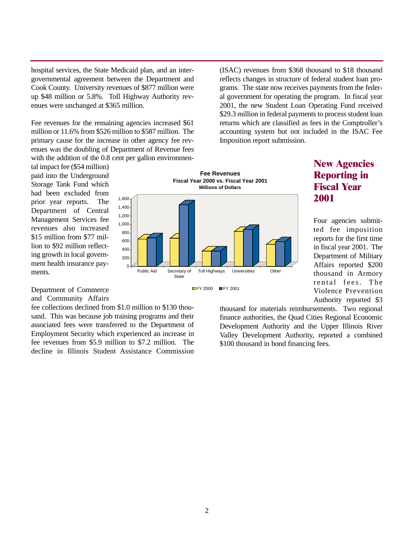hospital services, the State Medicaid plan, and an intergovernmental agreement between the Department and Cook County. University revenues of \$877 million were up \$48 million or 5.8%. Toll Highway Authority revenues were unchanged at \$365 million.

Fee revenues for the remaining agencies increased \$61 million or 11.6% from \$526 million to \$587 million. The primary cause for the increase in other agency fee revenues was the doubling of Department of Revenue fees with the addition of the 0.8 cent per gallon environmen-

tal impact fee (\$54 million) paid into the Underground Storage Tank Fund which had been excluded from prior year reports. The Department of Central Management Services fee revenues also increased \$15 million from \$77 million to \$92 million reflecting growth in local government health insurance payments.

 $\Omega$ 200 400 600 800  $1,000 -$ 1,200 1,400  $1,600 -$ **Fee Revenues Fiscal Year 2000 vs. Fiscal Year 2001 Millions of Dollars** Public Aid Secretary of Toll Highways Universities Other **State** 

#### Department of Commerce and Community Affairs

fee collections declined from \$1.0 million to \$130 thousand. This was because job training programs and their associated fees were transferred to the Department of Employment Security which experienced an increase in fee revenues from \$5.9 million to \$7.2 million. The decline in Illinois Student Assistance Commission



#### (ISAC) revenues from \$368 thousand to \$18 thousand reflects changes in structure of federal student loan programs. The state now receives payments from the federal government for operating the program. In fiscal year 2001, the new Student Loan Operating Fund received \$29.3 million in federal payments to process student loan returns which are classified as fees in the Comptroller's accounting system but not included in the ISAC Fee Imposition report submission.

#### **New Agencies Reporting in Fiscal Year 2001**

Four agencies submitted fee imposition reports for the first time in fiscal year 2001. The Department of Military Affairs reported \$200 thousand in Armory rental fees. The Violence Prevention Authority reported \$3

thousand for materials reimbursements. Two regional finance authorities, the Quad Cities Regional Economic Development Authority and the Upper Illinois River Valley Development Authority, reported a combined \$100 thousand in bond financing fees.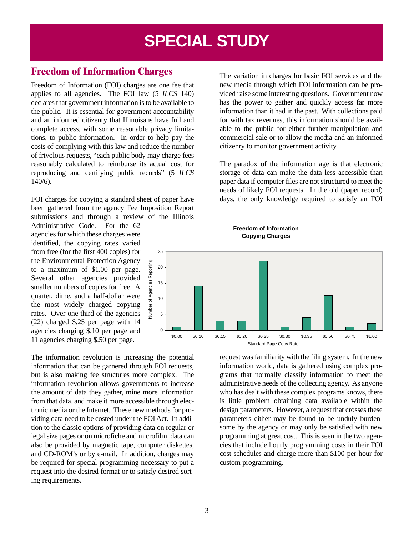## **SPECIAL STUDY**

#### **Freedom of Information Charges**

Freedom of Information (FOI) charges are one fee that applies to all agencies. The FOI law (5 *ILCS* 140) declares that government information is to be available to the public. It is essential for government accountability and an informed citizenry that Illinoisans have full and complete access, with some reasonable privacy limitations, to public information. In order to help pay the costs of complying with this law and reduce the number of frivolous requests, "each public body may charge fees reasonably calculated to reimburse its actual cost for reproducing and certifying public records" (5 *ILCS* 140/6).

FOI charges for copying a standard sheet of paper have been gathered from the agency Fee Imposition Report submissions and through a review of the Illinois

Administrative Code. For the 62 agencies for which these charges were identified, the copying rates varied from free (for the first 400 copies) for the Environmental Protection Agency to a maximum of \$1.00 per page. Several other agencies provided smaller numbers of copies for free. A quarter, dime, and a half-dollar were the most widely charged copying rates. Over one-third of the agencies (22) charged \$.25 per page with 14 agencies charging \$.10 per page and 11 agencies charging \$.50 per page.

The information revolution is increasing the potential information that can be garnered through FOI requests, but is also making fee structures more complex. The information revolution allows governments to increase the amount of data they gather, mine more information from that data, and make it more accessible through electronic media or the Internet. These new methods for providing data need to be costed under the FOI Act. In addition to the classic options of providing data on regular or legal size pages or on microfiche and microfilm, data can also be provided by magnetic tape, computer diskettes, and CD-ROM's or by e-mail. In addition, charges may be required for special programming necessary to put a request into the desired format or to satisfy desired sorting requirements.

The variation in charges for basic FOI services and the new media through which FOI information can be provided raise some interesting questions. Government now has the power to gather and quickly access far more information than it had in the past. With collections paid for with tax revenues, this information should be available to the public for either further manipulation and commercial sale or to allow the media and an informed citizenry to monitor government activity.

The paradox of the information age is that electronic storage of data can make the data less accessible than paper data if computer files are not structured to meet the needs of likely FOI requests. In the old (paper record) days, the only knowledge required to satisfy an FOI



request was familiarity with the filing system. In the new information world, data is gathered using complex programs that normally classify information to meet the administrative needs of the collecting agency. As anyone who has dealt with these complex programs knows, there is little problem obtaining data available within the design parameters. However, a request that crosses these parameters either may be found to be unduly burdensome by the agency or may only be satisfied with new programming at great cost. This is seen in the two agencies that include hourly programming costs in their FOI cost schedules and charge more than \$100 per hour for custom programming.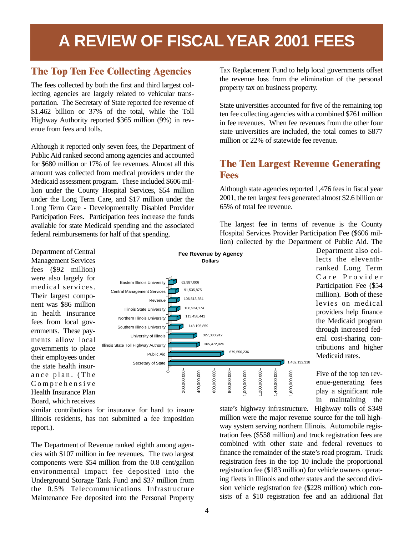# **A REVIEW OF FISCAL YEAR 2001 FEES**

#### **The Top Ten Fee Collecting Agencies**

The fees collected by both the first and third largest collecting agencies are largely related to vehicular transportation. The Secretary of State reported fee revenue of \$1.462 billion or 37% of the total, while the Toll Highway Authority reported \$365 million (9%) in revenue from fees and tolls.

Although it reported only seven fees, the Department of Public Aid ranked second among agencies and accounted for \$680 million or 17% of fee revenues. Almost all this amount was collected from medical providers under the Medicaid assessment program. These included \$606 million under the County Hospital Services, \$54 million under the Long Term Care, and \$17 million under the Long Term Care - Developmentally Disabled Provider Participation Fees. Participation fees increase the funds available for state Medicaid spending and the associated federal reimbursements for half of that spending.

Tax Replacement Fund to help local governments offset the revenue loss from the elimination of the personal property tax on business property.

State universities accounted for five of the remaining top ten fee collecting agencies with a combined \$761 million in fee revenues. When fee revenues from the other four state universities are included, the total comes to \$877 million or 22% of statewide fee revenue.

#### **The Ten Largest Revenue Generating Fees**

Although state agencies reported 1,476 fees in fiscal year 2001, the ten largest fees generated almost \$2.6 billion or 65% of total fee revenue.

The largest fee in terms of revenue is the County Hospital Services Provider Participation Fee (\$606 million) collected by the Department of Public Aid. The



Department also collects the eleventhranked Long Term Care Provider Participation Fee (\$54 million). Both of these levies on medical providers help finance the Medicaid program through increased federal cost-sharing contributions and higher Medicaid rates.

Five of the top ten revenue-generating fees play a significant role in maintaining the

nent was \$86 million in health insurance fees from local governments. These payments allow local governments to place their employees under the state health insurance plan. (The Comprehensive Health Insurance Plan Board, which receives

similar contributions for insurance for hard to insure Illinois residents, has not submitted a fee imposition report.).

The Department of Revenue ranked eighth among agencies with \$107 million in fee revenues. The two largest components were \$54 million from the 0.8 cent/gallon environmental impact fee deposited into the Underground Storage Tank Fund and \$37 million from the 0.5% Telecommunications Infrastructure Maintenance Fee deposited into the Personal Property state's highway infrastructure. Highway tolls of \$349 million were the major revenue source for the toll highway system serving northern Illinois. Automobile registration fees (\$558 million) and truck registration fees are combined with other state and federal revenues to finance the remainder of the state's road program. Truck registration fees in the top 10 include the proportional registration fee (\$183 million) for vehicle owners operating fleets in Illinois and other states and the second division vehicle registration fee (\$228 million) which consists of a \$10 registration fee and an additional flat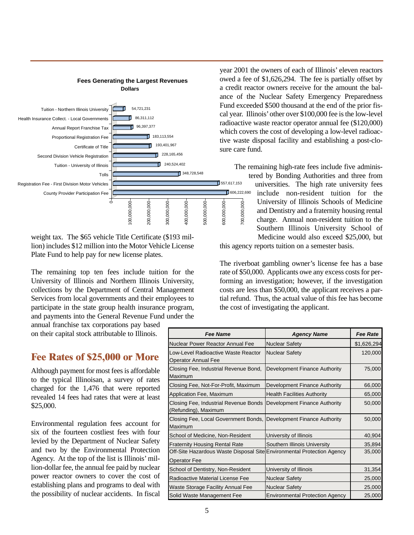

**Fees Generating the Largest Revenues**

weight tax. The \$65 vehicle Title Certificate (\$193 million) includes \$12 million into the Motor Vehicle License Plate Fund to help pay for new license plates.

The remaining top ten fees include tuition for the University of Illinois and Northern Illinois University, collections by the Department of Central Management Services from local governments and their employees to participate in the state group health insurance program, and payments into the General Revenue Fund under the

annual franchise tax corporations pay based on their capital stock attributable to Illinois.

#### **Fee Rates of \$25,000 or More**

Although payment for most fees is affordable to the typical Illinoisan, a survey of rates charged for the 1,476 that were reported revealed 14 fees had rates that were at least \$25,000.

Environmental regulation fees account for six of the fourteen costliest fees with four levied by the Department of Nuclear Safety and two by the Environmental Protection Agency. At the top of the list is Illinois' million-dollar fee, the annual fee paid by nuclear power reactor owners to cover the cost of establishing plans and programs to deal with the possibility of nuclear accidents. In fiscal

year 2001 the owners of each of Illinois' eleven reactors owed a fee of \$1,626,294. The fee is partially offset by a credit reactor owners receive for the amount the balance of the Nuclear Safety Emergency Preparedness Fund exceeded \$500 thousand at the end of the prior fiscal year. Illinois'other over \$100,000 fee is the low-level radioactive waste reactor operator annual fee (\$120,000) which covers the cost of developing a low-level radioactive waste disposal facility and establishing a post-closure care fund.

The remaining high-rate fees include five administered by Bonding Authorities and three from

universities. The high rate university fees include non-resident tuition for the University of Illinois Schools of Medicine and Dentistry and a fraternity housing rental charge. Annual non-resident tuition to the Southern Illinois University School of Medicine would also exceed \$25,000, but

this agency reports tuition on a semester basis.

The riverboat gambling owner's license fee has a base rate of \$50,000. Applicants owe any excess costs for performing an investigation; however, if the investigation costs are less than \$50,000, the applicant receives a partial refund. Thus, the actual value of this fee has become the cost of investigating the applicant.

| <b>Fee Name</b>                                                                               | <b>Agency Name</b>                     | <b>Fee Rate</b> |
|-----------------------------------------------------------------------------------------------|----------------------------------------|-----------------|
| Nuclear Power Reactor Annual Fee                                                              | <b>Nuclear Safety</b>                  | \$1,626,294     |
| Low-Level Radioactive Waste Reactor<br>Operator Annual Fee                                    | <b>Nuclear Safety</b>                  | 120,000         |
| Closing Fee, Industrial Revenue Bond,<br>Maximum                                              | Development Finance Authority          | 75,000          |
| Closing Fee, Not-For-Profit, Maximum                                                          | Development Finance Authority          | 66,000          |
| Application Fee, Maximum                                                                      | <b>Health Facilities Authority</b>     | 65,000          |
| Closing Fee, Industrial Revenue Bonds<br>(Refunding), Maximum                                 | Development Finance Authority          | 50,000          |
| Closing Fee, Local Government Bonds, Development Finance Authority<br>Maximum                 |                                        | 50,000          |
| School of Medicine, Non-Resident                                                              | University of Illinois                 | 40,904          |
| <b>Fraternity Housing Rental Rate</b>                                                         | Southern Illinois University           | 35,894          |
| Off-Site Hazardous Waste Disposal Site Environmental Protection Agency<br><b>Operator Fee</b> |                                        | 35,000          |
| School of Dentistry, Non-Resident                                                             | University of Illinois                 | 31,354          |
| Radioactive Material License Fee                                                              | <b>Nuclear Safety</b>                  | 25,000          |
| Waste Storage Facility Annual Fee                                                             | <b>Nuclear Safety</b>                  | 25,000          |
| Solid Waste Management Fee                                                                    | <b>Environmental Protection Agency</b> | 25,000          |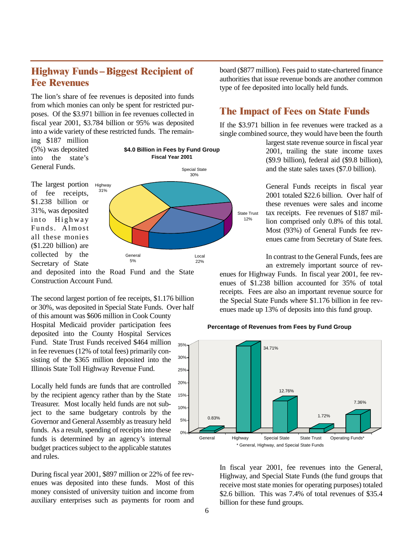#### **Highway Funds – Biggest Recipient of Fee Revenues**

The lion's share of fee revenues is deposited into funds from which monies can only be spent for restricted purposes. Of the \$3.971 billion in fee revenues collected in fiscal year 2001, \$3.784 billion or 95% was deposited into a wide variety of these restricted funds. The remain-

ing \$187 million (5%) was deposited into the state's General Funds.

The largest portion of fee receipts, \$1.238 billion or 31%, was deposited into Highway Funds. Almost all these monies (\$1.220 billion) are



collected by the Secretary of State and deposited into the Road Fund and the State

Construction Account Fund.

The second largest portion of fee receipts, \$1.176 billion or 30%, was deposited in Special State Funds. Over half of this amount was \$606 million in Cook County Hospital Medicaid provider participation fees deposited into the County Hospital Services Fund. State Trust Funds received \$464 million in fee revenues (12% of total fees) primarily consisting of the \$365 million deposited into the Illinois State Toll Highway Revenue Fund. 25% 30% 35%

Locally held funds are funds that are controlled by the recipient agency rather than by the State Treasurer. Most locally held funds are not subject to the same budgetary controls by the Governor and General Assembly as treasury held funds. As a result, spending of receipts into these funds is determined by an agency's internal budget practices subject to the applicable statutes and rules.

During fiscal year 2001, \$897 million or 22% of fee revenues was deposited into these funds. Most of this money consisted of university tuition and income from auxiliary enterprises such as payments for room and board (\$877 million). Fees paid to state-chartered finance authorities that issue revenue bonds are another common type of fee deposited into locally held funds.

#### **The Impact of Fees on State Funds**

If the \$3.971 billion in fee revenues were tracked as a single combined source, they would have been the fourth

> largest state revenue source in fiscal year 2001, trailing the state income taxes (\$9.9 billion), federal aid (\$9.8 billion), and the state sales taxes (\$7.0 billion).

General Funds receipts in fiscal year 2001 totaled \$22.6 billion. Over half of these revenues were sales and income tax receipts. Fee revenues of \$187 million comprised only 0.8% of this total. Most (93%) of General Funds fee revenues came from Secretary of State fees.

In contrast to the General Funds, fees are an extremely important source of rev-

enues for Highway Funds. In fiscal year 2001, fee revenues of \$1.238 billion accounted for 35% of total receipts. Fees are also an important revenue source for the Special State Funds where \$1.176 billion in fee revenues made up 13% of deposits into this fund group.

#### **Percentage of Revenues from Fees by Fund Group**



In fiscal year 2001, fee revenues into the General, Highway, and Special State Funds (the fund groups that receive most state monies for operating purposes) totaled \$2.6 billion. This was 7.4% of total revenues of \$35.4 billion for these fund groups.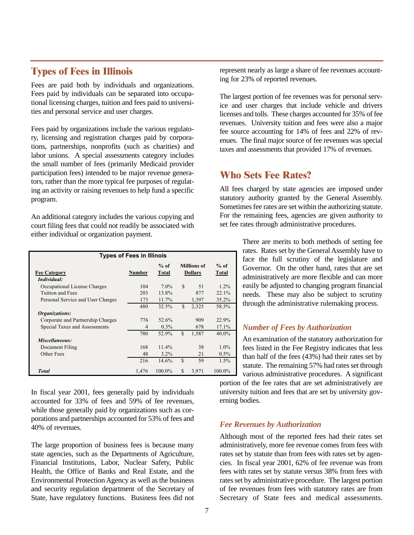#### **Types of Fees in Illinois**

Fees are paid both by individuals and organizations. Fees paid by individuals can be separated into occupational licensing charges, tuition and fees paid to universities and personal service and user charges.

Fees paid by organizations include the various regulatory, licensing and registration charges paid by corporations, partnerships, nonprofits (such as charities) and labor unions. A special assessments category includes the small number of fees (primarily Medicaid provider participation fees) intended to be major revenue generators, rather than the more typical fee purposes of regulating an activity or raising revenues to help fund a specific program.

An additional category includes the various copying and court filing fees that could not readily be associated with either individual or organization payment.

| <b>Types of Fees in Illinois</b>   |                |                 |               |                                      |                        |
|------------------------------------|----------------|-----------------|---------------|--------------------------------------|------------------------|
| <b>Fee Category</b><br>Individual: | <b>Number</b>  | $%$ of<br>Total |               | <b>Millions</b> of<br><b>Dollars</b> | $%$ of<br><b>Total</b> |
| Occupational License Charges       | 104            | $7.0\%$         | <sup>\$</sup> | 51                                   | $1.2\%$                |
| Tuition and Fees                   | 203            | 13.8%           |               | 877                                  | 22.1%                  |
| Personal Service and User Charges  | 173            | 11.7%           |               | 1,397                                | 35.2%                  |
|                                    | 480            | 32.5%           | \$            | 2,325                                | 58.5%                  |
| Organizations:                     |                |                 |               |                                      |                        |
| Corporate and Partnership Charges  | 776            | 52.6%           |               | 909                                  | 22.9%                  |
| Special Taxes and Assessments      | $\overline{4}$ | $0.3\%$         |               | 678                                  | 17.1%                  |
|                                    | 780            | 52.9%           | \$            | 1,587                                | $40.0\%$               |
| Miscellaneous:                     |                |                 |               |                                      |                        |
| Document Filing                    | 168            | 11.4%           |               | 38                                   | $1.0\%$                |
| Other Fees                         | 48             | $3.2\%$         |               | 21                                   | $0.5\%$                |
|                                    | 216            | 14.6%           | \$            | 59                                   | 1.5%                   |
| <b>Total</b>                       | 1,476          | 100.0%          | S             | 3,971                                | $100.0\%$              |

In fiscal year 2001, fees generally paid by individuals accounted for 33% of fees and 59% of fee revenues, while those generally paid by organizations such as corporations and partnerships accounted for 53% of fees and 40% of revenues.

The large proportion of business fees is because many state agencies, such as the Departments of Agriculture, Financial Institutions, Labor, Nuclear Safety, Public Health, the Office of Banks and Real Estate, and the Environmental Protection Agency as well as the business and security regulation department of the Secretary of State, have regulatory functions. Business fees did not represent nearly as large a share of fee revenues accounting for 23% of reported revenues.

The largest portion of fee revenues was for personal service and user charges that include vehicle and drivers licenses and tolls. These charges accounted for 35% of fee revenues. University tuition and fees were also a major fee source accounting for 14% of fees and 22% of revenues. The final major source of fee revenues was special taxes and assessments that provided 17% of revenues.

#### **Who Sets Fee Rates?**

All fees charged by state agencies are imposed under statutory authority granted by the General Assembly. Sometimes fee rates are set within the authorizing statute. For the remaining fees, agencies are given authority to set fee rates through administrative procedures.

> There are merits to both methods of setting fee rates. Rates set by the General Assembly have to face the full scrutiny of the legislature and Governor. On the other hand, rates that are set administratively are more flexible and can more easily be adjusted to changing program financial needs. These may also be subject to scrutiny through the administrative rulemaking process.

#### *Number of Fees by Authorization*

An examination of the statutory authorization for fees listed in the Fee Registry indicates that less than half of the fees (43%) had their rates set by statute. The remaining 57% had rates set through various administrative procedures. A significant

portion of the fee rates that are set administratively are university tuition and fees that are set by university governing bodies.

#### *Fee Revenues by Authorization*

Although most of the reported fees had their rates set administratively, more fee revenue comes from fees with rates set by statute than from fees with rates set by agencies. In fiscal year 2001, 62% of fee revenue was from fees with rates set by statute versus 38% from fees with rates set by administrative procedure. The largest portion of fee revenues from fees with statutory rates are from Secretary of State fees and medical assessments.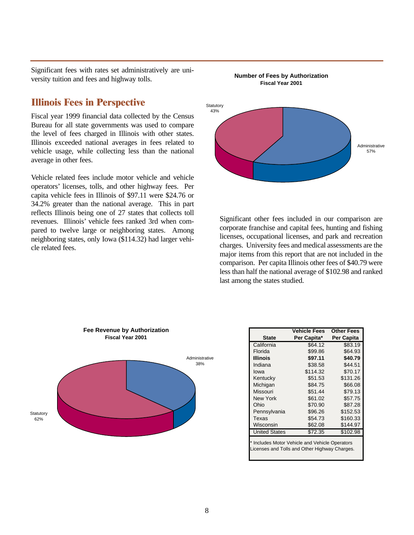Significant fees with rates set administratively are university tuition and fees and highway tolls.

#### **Illinois Fees in Perspective**

Fiscal year 1999 financial data collected by the Census Bureau for all state governments was used to compare the level of fees charged in Illinois with other states. Illinois exceeded national averages in fees related to vehicle usage, while collecting less than the national average in other fees.

Vehicle related fees include motor vehicle and vehicle operators' licenses, tolls, and other highway fees. Per capita vehicle fees in Illinois of \$97.11 were \$24.76 or 34.2% greater than the national average. This in part reflects Illinois being one of 27 states that collects toll revenues. Illinois' vehicle fees ranked 3rd when compared to twelve large or neighboring states. Among neighboring states, only Iowa (\$114.32) had larger vehicle related fees.



**Number of Fees by Authorization Fiscal Year 2001**

Significant other fees included in our comparison are corporate franchise and capital fees, hunting and fishing licenses, occupational licenses, and park and recreation charges. University fees and medical assessments are the major items from this report that are not included in the comparison. Per capita Illinois other fees of \$40.79 were less than half the national average of \$102.98 and ranked last among the states studied.



|                                                                                                 | <b>Vehicle Fees</b> | <b>Other Fees</b> |  |
|-------------------------------------------------------------------------------------------------|---------------------|-------------------|--|
| <b>State</b>                                                                                    | Per Capita*         | Per Capita        |  |
| California                                                                                      | \$64.12             | \$83.19           |  |
| Florida                                                                                         | \$99.86             | \$64.93           |  |
| <b>Illinois</b>                                                                                 | \$97.11             | \$40.79           |  |
| Indiana                                                                                         | \$38.58             | \$44.51           |  |
| lowa                                                                                            | \$114.32            | \$70.17           |  |
| Kentucky                                                                                        | \$51.53             | \$131.26          |  |
| Michigan                                                                                        | \$84.75             | \$66.08           |  |
| Missouri                                                                                        | \$51.44             | \$79.13           |  |
| New York                                                                                        | \$61.02             | \$57.75           |  |
| Ohio                                                                                            | \$70.90             | \$87.28           |  |
| Pennsylvania                                                                                    | \$96.26             | \$152.53          |  |
| Texas                                                                                           | \$54.73             | \$160.33          |  |
| Wisconsin                                                                                       | \$62.08             | \$144.97          |  |
| <b>United States</b>                                                                            | \$72.35             | \$102.98          |  |
| * Includes Motor Vehicle and Vehicle Operators<br>Licenses and Tolls and Other Highway Charges. |                     |                   |  |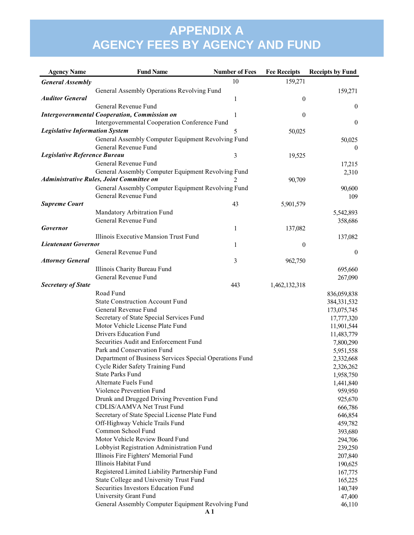| <b>Agency Name</b>                    | <b>Fund Name</b>                                        | <b>Number of Fees</b> | <b>Fee Receipts</b> | <b>Receipts by Fund</b> |
|---------------------------------------|---------------------------------------------------------|-----------------------|---------------------|-------------------------|
| <b>General Assembly</b>               |                                                         | 10                    | 159,271             |                         |
|                                       | General Assembly Operations Revolving Fund              |                       |                     | 159,271                 |
| <b>Auditor General</b>                |                                                         | 1                     | $\boldsymbol{0}$    |                         |
|                                       | General Revenue Fund                                    |                       |                     | $\mathbf{0}$            |
|                                       | <b>Intergovernmental Cooperation, Commission on</b>     | 1                     | $\boldsymbol{0}$    |                         |
|                                       | Intergovernmental Cooperation Conference Fund           |                       |                     | $\boldsymbol{0}$        |
| <b>Legislative Information System</b> |                                                         | 5                     | 50,025              |                         |
|                                       | General Assembly Computer Equipment Revolving Fund      |                       |                     | 50,025                  |
|                                       | General Revenue Fund                                    |                       |                     | $\theta$                |
| Legislative Reference Bureau          |                                                         | 3                     | 19,525              |                         |
|                                       | General Revenue Fund                                    |                       |                     | 17,215                  |
|                                       | General Assembly Computer Equipment Revolving Fund      |                       |                     | 2,310                   |
|                                       | Administrative Rules, Joint Committee on                | 2                     | 90,709              |                         |
|                                       | General Assembly Computer Equipment Revolving Fund      |                       |                     | 90,600                  |
|                                       | General Revenue Fund                                    |                       |                     | 109                     |
| <b>Supreme Court</b>                  |                                                         | 43                    | 5,901,579           |                         |
|                                       | Mandatory Arbitration Fund                              |                       |                     | 5,542,893               |
|                                       | General Revenue Fund                                    |                       |                     | 358,686                 |
| Governor                              |                                                         | 1                     | 137,082             |                         |
|                                       | Illinois Executive Mansion Trust Fund                   |                       |                     | 137,082                 |
| <b>Lieutenant Governor</b>            |                                                         | 1                     | $\boldsymbol{0}$    |                         |
|                                       | General Revenue Fund                                    |                       |                     | $\boldsymbol{0}$        |
| <b>Attorney General</b>               |                                                         | 3                     | 962,750             |                         |
|                                       | Illinois Charity Bureau Fund                            |                       |                     | 695,660                 |
|                                       | General Revenue Fund                                    |                       |                     | 267,090                 |
| <b>Secretary of State</b>             |                                                         | 443                   | 1,462,132,318       |                         |
|                                       | Road Fund                                               |                       |                     | 836,059,838             |
|                                       | <b>State Construction Account Fund</b>                  |                       |                     | 384, 331, 532           |
|                                       | General Revenue Fund                                    |                       |                     | 173,075,745             |
|                                       | Secretary of State Special Services Fund                |                       |                     | 17,777,320              |
|                                       | Motor Vehicle License Plate Fund                        |                       |                     | 11,901,544              |
|                                       | Drivers Education Fund                                  |                       |                     | 11,483,779              |
|                                       | Securities Audit and Enforcement Fund                   |                       |                     | 7,800,290               |
|                                       | Park and Conservation Fund                              |                       |                     | 5,951,558               |
|                                       | Department of Business Services Special Operations Fund |                       |                     | 2,332,668               |
|                                       | Cycle Rider Safety Training Fund                        |                       |                     | 2,326,262               |
|                                       | <b>State Parks Fund</b>                                 |                       |                     | 1,958,750               |
|                                       | Alternate Fuels Fund                                    |                       |                     | 1,441,840               |
|                                       | Violence Prevention Fund                                |                       |                     | 959,950                 |
|                                       | Drunk and Drugged Driving Prevention Fund               |                       |                     | 925,670                 |
|                                       | CDLIS/AAMVA Net Trust Fund                              |                       |                     | 666,786                 |
|                                       | Secretary of State Special License Plate Fund           |                       |                     | 646,854                 |
|                                       | Off-Highway Vehicle Trails Fund                         |                       |                     | 459,782                 |
|                                       | Common School Fund                                      |                       |                     | 393,680                 |
|                                       | Motor Vehicle Review Board Fund                         |                       |                     | 294,706                 |
|                                       | Lobbyist Registration Administration Fund               |                       |                     | 239,250                 |
|                                       | Illinois Fire Fighters' Memorial Fund                   |                       |                     | 207,840                 |
|                                       | Illinois Habitat Fund                                   |                       |                     | 190,625                 |
|                                       | Registered Limited Liability Partnership Fund           |                       |                     | 167,775                 |
|                                       | State College and University Trust Fund                 |                       |                     | 165,225                 |
|                                       | Securities Investors Education Fund                     |                       |                     | 140,749                 |
|                                       | University Grant Fund                                   |                       |                     | 47,400                  |
|                                       | General Assembly Computer Equipment Revolving Fund      |                       |                     | 46,110                  |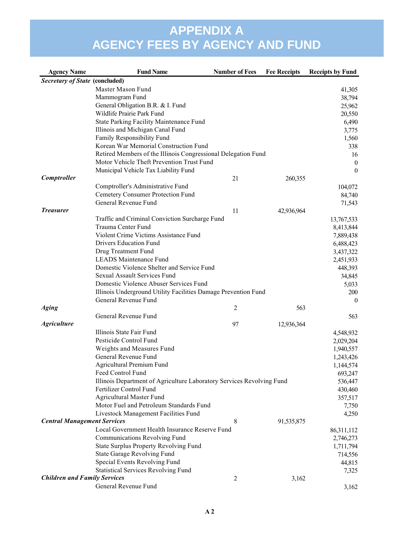| <b>Agency Name</b>                    | <b>Fund Name</b>                                                      | <b>Number of Fees</b> | <b>Fee Receipts</b> | <b>Receipts by Fund</b> |
|---------------------------------------|-----------------------------------------------------------------------|-----------------------|---------------------|-------------------------|
| <b>Secretary of State (concluded)</b> |                                                                       |                       |                     |                         |
|                                       | Master Mason Fund                                                     |                       |                     | 41,305                  |
|                                       | Mammogram Fund                                                        |                       |                     | 38,794                  |
|                                       | General Obligation B.R. & I. Fund                                     |                       |                     | 25,962                  |
|                                       | Wildlife Prairie Park Fund                                            |                       |                     | 20,550                  |
|                                       | <b>State Parking Facility Maintenance Fund</b>                        |                       |                     | 6,490                   |
|                                       | Illinois and Michigan Canal Fund                                      |                       |                     | 3,775                   |
|                                       | Family Responsibility Fund                                            |                       |                     | 1,560                   |
|                                       | Korean War Memorial Construction Fund                                 |                       |                     | 338                     |
|                                       | Retired Members of the Illinois Congressional Delegation Fund         |                       |                     | 16                      |
|                                       | Motor Vehicle Theft Prevention Trust Fund                             |                       |                     | $\boldsymbol{0}$        |
|                                       | Municipal Vehicle Tax Liability Fund                                  |                       |                     | $\mathbf{0}$            |
| Comptroller                           |                                                                       | 21                    | 260,355             |                         |
|                                       | Comptroller's Administrative Fund                                     |                       |                     | 104,072                 |
|                                       | <b>Cemetery Consumer Protection Fund</b>                              |                       |                     | 84,740                  |
|                                       | General Revenue Fund                                                  |                       |                     | 71,543                  |
| <b>Treasurer</b>                      |                                                                       | 11                    | 42,936,964          |                         |
|                                       | Traffic and Criminal Conviction Surcharge Fund                        |                       |                     | 13,767,533              |
|                                       | Trauma Center Fund                                                    |                       |                     | 8,413,844               |
|                                       | Violent Crime Victims Assistance Fund                                 |                       |                     | 7,889,438               |
|                                       | Drivers Education Fund                                                |                       |                     | 6,488,423               |
|                                       | Drug Treatment Fund                                                   |                       |                     | 3,437,322               |
|                                       | <b>LEADS Maintenance Fund</b>                                         |                       |                     | 2,451,933               |
|                                       | Domestic Violence Shelter and Service Fund                            |                       |                     | 448,393                 |
|                                       | Sexual Assault Services Fund                                          |                       |                     | 34,845                  |
|                                       | Domestic Violence Abuser Services Fund                                |                       |                     | 5,033                   |
|                                       | Illinois Underground Utility Facilities Damage Prevention Fund        |                       |                     | 200                     |
|                                       | General Revenue Fund                                                  |                       |                     | $\theta$                |
| <b>Aging</b>                          |                                                                       | $\overline{2}$        | 563                 |                         |
|                                       | General Revenue Fund                                                  |                       |                     | 563                     |
| <b>Agriculture</b>                    |                                                                       | 97                    | 12,936,364          |                         |
|                                       | Illinois State Fair Fund                                              |                       |                     | 4,548,932               |
|                                       | Pesticide Control Fund                                                |                       |                     | 2,029,204               |
|                                       | Weights and Measures Fund                                             |                       |                     | 1,940,557               |
|                                       | General Revenue Fund                                                  |                       |                     | 1,243,426               |
|                                       | Agricultural Premium Fund                                             |                       |                     | 1,144,574               |
|                                       | Feed Control Fund                                                     |                       |                     | 693,247                 |
|                                       | Illinois Department of Agriculture Laboratory Services Revolving Fund |                       |                     | 536,447                 |
|                                       | Fertilizer Control Fund                                               |                       |                     | 430,460                 |
|                                       | <b>Agricultural Master Fund</b>                                       |                       |                     | 357,517                 |
|                                       | Motor Fuel and Petroleum Standards Fund                               |                       |                     | 7,750                   |
|                                       | Livestock Management Facilities Fund                                  |                       |                     | 4,250                   |
| <b>Central Management Services</b>    |                                                                       | 8                     | 91,535,875          |                         |
|                                       | Local Government Health Insurance Reserve Fund                        |                       |                     | 86,311,112              |
|                                       | Communications Revolving Fund                                         |                       |                     | 2,746,273               |
|                                       | <b>State Surplus Property Revolving Fund</b>                          |                       |                     | 1,711,794               |
|                                       | State Garage Revolving Fund                                           |                       |                     | 714,556                 |
|                                       | Special Events Revolving Fund                                         |                       |                     | 44,815                  |
|                                       | <b>Statistical Services Revolving Fund</b>                            |                       |                     | 7,325                   |
| <b>Children and Family Services</b>   |                                                                       | $\overline{2}$        | 3,162               |                         |
|                                       | General Revenue Fund                                                  |                       |                     | 3,162                   |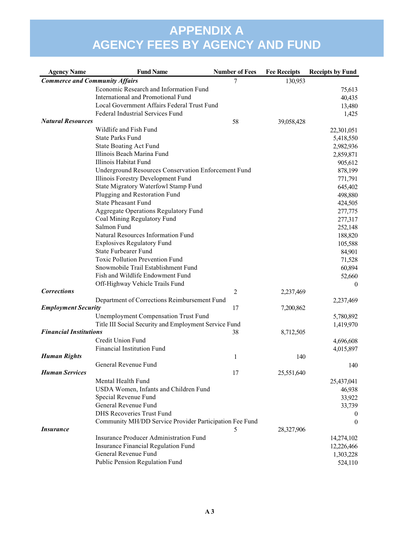| <b>Agency Name</b>                    | <b>Fund Name</b>                                        | <b>Number of Fees</b> | <b>Fee Receipts</b> | <b>Receipts by Fund</b> |
|---------------------------------------|---------------------------------------------------------|-----------------------|---------------------|-------------------------|
| <b>Commerce and Community Affairs</b> |                                                         | 7                     | 130,953             |                         |
|                                       | Economic Research and Information Fund                  |                       |                     | 75,613                  |
|                                       | International and Promotional Fund                      |                       |                     | 40,435                  |
|                                       | Local Government Affairs Federal Trust Fund             |                       |                     | 13,480                  |
|                                       | Federal Industrial Services Fund                        |                       |                     | 1,425                   |
| <b>Natural Resources</b>              |                                                         | 58                    | 39,058,428          |                         |
|                                       | Wildlife and Fish Fund                                  |                       |                     | 22,301,051              |
|                                       | <b>State Parks Fund</b>                                 |                       |                     | 5,418,550               |
|                                       | <b>State Boating Act Fund</b>                           |                       |                     | 2,982,936               |
|                                       | Illinois Beach Marina Fund                              |                       |                     | 2,859,871               |
|                                       | Illinois Habitat Fund                                   |                       |                     | 905,612                 |
|                                       | Underground Resources Conservation Enforcement Fund     |                       |                     | 878,199                 |
|                                       | Illinois Forestry Development Fund                      |                       |                     | 771,791                 |
|                                       | State Migratory Waterfowl Stamp Fund                    |                       |                     | 645,402                 |
|                                       | Plugging and Restoration Fund                           |                       |                     | 498,880                 |
|                                       | <b>State Pheasant Fund</b>                              |                       |                     | 424,505                 |
|                                       | Aggregate Operations Regulatory Fund                    |                       |                     | 277,775                 |
|                                       | Coal Mining Regulatory Fund                             |                       |                     | 277,317                 |
|                                       | Salmon Fund                                             |                       |                     | 252,148                 |
|                                       | Natural Resources Information Fund                      |                       |                     | 188,820                 |
|                                       | <b>Explosives Regulatory Fund</b>                       |                       |                     | 105,588                 |
|                                       | <b>State Furbearer Fund</b>                             |                       |                     | 84,901                  |
|                                       | <b>Toxic Pollution Prevention Fund</b>                  |                       |                     | 71,528                  |
|                                       | Snowmobile Trail Establishment Fund                     |                       |                     | 60,894                  |
|                                       | Fish and Wildlife Endowment Fund                        |                       |                     | 52,660                  |
|                                       | Off-Highway Vehicle Trails Fund                         |                       |                     | $\boldsymbol{0}$        |
| <b>Corrections</b>                    |                                                         | $\overline{c}$        | 2,237,469           |                         |
|                                       | Department of Corrections Reimbursement Fund            |                       |                     | 2,237,469               |
| <b>Employment Security</b>            |                                                         | 17                    | 7,200,862           |                         |
|                                       | <b>Unemployment Compensation Trust Fund</b>             |                       |                     | 5,780,892               |
|                                       | Title III Social Security and Employment Service Fund   |                       |                     | 1,419,970               |
| <b>Financial Institutions</b>         |                                                         | 38                    | 8,712,505           |                         |
|                                       | Credit Union Fund                                       |                       |                     | 4,696,608               |
|                                       | Financial Institution Fund                              |                       |                     | 4,015,897               |
| <b>Human Rights</b>                   |                                                         | 1                     | 140                 |                         |
|                                       | General Revenue Fund                                    |                       |                     | 140                     |
| <b>Human Services</b>                 |                                                         | 17                    | 25,551,640          |                         |
|                                       | Mental Health Fund                                      |                       |                     | 25,437,041              |
|                                       | USDA Women, Infants and Children Fund                   |                       |                     | 46,938                  |
|                                       | Special Revenue Fund                                    |                       |                     | 33,922                  |
|                                       | General Revenue Fund                                    |                       |                     | 33,739                  |
|                                       | <b>DHS Recoveries Trust Fund</b>                        |                       |                     | $\theta$                |
|                                       | Community MH/DD Service Provider Participation Fee Fund |                       |                     | $\mathbf{0}$            |
| <b>Insurance</b>                      |                                                         | 5                     | 28,327,906          |                         |
|                                       | Insurance Producer Administration Fund                  |                       |                     | 14,274,102              |
|                                       | Insurance Financial Regulation Fund                     |                       |                     | 12,226,466              |
|                                       | General Revenue Fund                                    |                       |                     | 1,303,228               |
|                                       | Public Pension Regulation Fund                          |                       |                     | 524,110                 |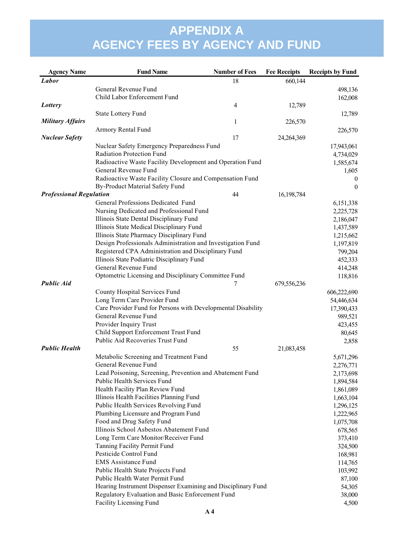| <b>Agency Name</b>             | <b>Fund Name</b>                                             | <b>Number of Fees</b> | <b>Fee Receipts</b> | <b>Receipts by Fund</b>   |
|--------------------------------|--------------------------------------------------------------|-----------------------|---------------------|---------------------------|
| Labor                          |                                                              | 18                    | 660,144             |                           |
|                                | General Revenue Fund                                         |                       |                     | 498,136                   |
|                                | Child Labor Enforcement Fund                                 |                       |                     | 162,008                   |
| Lottery                        |                                                              | $\overline{4}$        | 12,789              |                           |
|                                | State Lottery Fund                                           |                       |                     | 12,789                    |
| <b>Military Affairs</b>        |                                                              | 1                     | 226,570             |                           |
|                                | Armory Rental Fund                                           |                       |                     | 226,570                   |
| <b>Nuclear Safety</b>          |                                                              | 17                    | 24,264,369          |                           |
|                                | Nuclear Safety Emergency Preparedness Fund                   |                       |                     | 17,943,061                |
|                                | Radiation Protection Fund                                    |                       |                     | 4,734,029                 |
|                                | Radioactive Waste Facility Development and Operation Fund    |                       |                     | 1,585,674                 |
|                                | General Revenue Fund                                         |                       |                     | 1,605                     |
|                                | Radioactive Waste Facility Closure and Compensation Fund     |                       |                     | $\theta$                  |
|                                | By-Product Material Safety Fund                              |                       |                     | $\mathbf{0}$              |
| <b>Professional Regulation</b> |                                                              | 44                    | 16,198,784          |                           |
|                                | General Professions Dedicated Fund                           |                       |                     | 6,151,338                 |
|                                | Nursing Dedicated and Professional Fund                      |                       |                     | 2,225,728                 |
|                                | Illinois State Dental Disciplinary Fund                      |                       |                     | 2,186,047                 |
|                                | Illinois State Medical Disciplinary Fund                     |                       |                     | 1,437,589                 |
|                                | Illinois State Pharmacy Disciplinary Fund                    |                       |                     | 1,215,662                 |
|                                | Design Professionals Administration and Investigation Fund   |                       |                     | 1,197,819                 |
|                                | Registered CPA Administration and Disciplinary Fund          |                       |                     | 799,204                   |
|                                | Illinois State Podiatric Disciplinary Fund                   |                       |                     | 452,333                   |
|                                | General Revenue Fund                                         |                       |                     | 414,248                   |
| <b>Public Aid</b>              | Optometric Licensing and Disciplinary Committee Fund         | 7                     | 679,556,236         | 118,816                   |
|                                | County Hospital Services Fund                                |                       |                     |                           |
|                                | Long Term Care Provider Fund                                 |                       |                     | 606,222,690<br>54,446,634 |
|                                | Care Provider Fund for Persons with Developmental Disability |                       |                     | 17,390,433                |
|                                | General Revenue Fund                                         |                       |                     | 989,521                   |
|                                | Provider Inquiry Trust                                       |                       |                     | 423,455                   |
|                                | Child Support Enforcement Trust Fund                         |                       |                     | 80,645                    |
|                                | Public Aid Recoveries Trust Fund                             |                       |                     | 2,858                     |
| <b>Public Health</b>           |                                                              | 55                    | 21,083,458          |                           |
|                                | Metabolic Screening and Treatment Fund                       |                       |                     | 5,671,296                 |
|                                | General Revenue Fund                                         |                       |                     | 2,276,771                 |
|                                | Lead Poisoning, Screening, Prevention and Abatement Fund     |                       |                     | 2,173,698                 |
|                                | Public Health Services Fund                                  |                       |                     | 1,894,584                 |
|                                | Health Facility Plan Review Fund                             |                       |                     | 1,861,089                 |
|                                | Illinois Health Facilities Planning Fund                     |                       |                     | 1,663,104                 |
|                                | Public Health Services Revolving Fund                        |                       |                     | 1,296,125                 |
|                                | Plumbing Licensure and Program Fund                          |                       |                     | 1,222,965                 |
|                                | Food and Drug Safety Fund                                    |                       |                     | 1,075,708                 |
|                                | Illinois School Asbestos Abatement Fund                      |                       |                     | 678,565                   |
|                                | Long Term Care Monitor/Receiver Fund                         |                       |                     | 373,410                   |
|                                | Tanning Facility Permit Fund                                 |                       |                     | 324,500                   |
|                                | Pesticide Control Fund                                       |                       |                     | 168,981                   |
|                                | <b>EMS Assistance Fund</b>                                   |                       |                     | 114,765                   |
|                                | Public Health State Projects Fund                            |                       |                     | 103,992                   |
|                                | Public Health Water Permit Fund                              |                       |                     | 87,100                    |
|                                | Hearing Instrument Dispenser Examining and Disciplinary Fund |                       |                     | 54,305                    |
|                                | Regulatory Evaluation and Basic Enforcement Fund             |                       |                     | 38,000                    |
|                                | Facility Licensing Fund                                      |                       |                     | 4,500                     |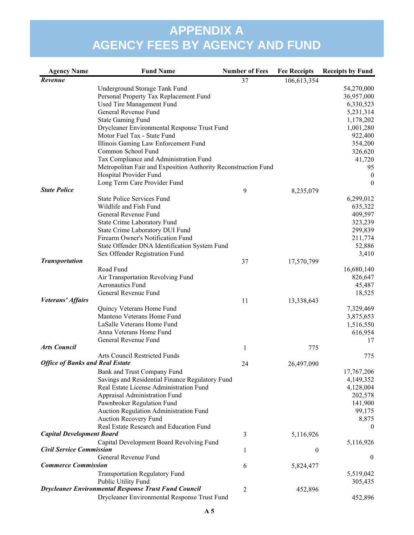| <b>Agency Name</b>                     | <b>Fund Name</b>                                               | <b>Number of Fees</b> | <b>Fee Receipts</b> | <b>Receipts by Fund</b> |
|----------------------------------------|----------------------------------------------------------------|-----------------------|---------------------|-------------------------|
| Revenue                                |                                                                | 37                    | 106,613,354         |                         |
|                                        | Underground Storage Tank Fund                                  |                       |                     | 54,270,000              |
|                                        | Personal Property Tax Replacement Fund                         |                       |                     | 36,957,000              |
|                                        | Used Tire Management Fund                                      |                       |                     | 6,330,523               |
|                                        | General Revenue Fund                                           |                       |                     | 5,231,314               |
|                                        | <b>State Gaming Fund</b>                                       |                       |                     | 1,178,202               |
|                                        | Drycleaner Environmental Response Trust Fund                   |                       |                     | 1,001,280               |
|                                        | Motor Fuel Tax - State Fund                                    |                       |                     | 922,400                 |
|                                        | Illinois Gaming Law Enforcement Fund                           |                       |                     | 354,200                 |
|                                        | Common School Fund                                             |                       |                     | 326,620                 |
|                                        | Tax Compliance and Administration Fund                         |                       |                     | 41,720                  |
|                                        | Metropolitan Fair and Exposition Authority Reconstruction Fund |                       |                     | 95                      |
|                                        | Hospital Provider Fund                                         |                       |                     | $\bf{0}$                |
|                                        | Long Term Care Provider Fund                                   |                       |                     | $\theta$                |
| <b>State Police</b>                    |                                                                | 9                     | 8,235,079           |                         |
|                                        | <b>State Police Services Fund</b>                              |                       |                     | 6,299,012               |
|                                        | Wildlife and Fish Fund                                         |                       |                     | 635,322                 |
|                                        | General Revenue Fund                                           |                       |                     | 409,597                 |
|                                        | State Crime Laboratory Fund                                    |                       |                     | 323,239                 |
|                                        | State Crime Laboratory DUI Fund                                |                       |                     | 299,839                 |
|                                        | Firearm Owner's Notification Fund                              |                       |                     | 211,774                 |
|                                        | State Offender DNA Identification System Fund                  |                       |                     | 52,886                  |
|                                        | Sex Offender Registration Fund                                 |                       |                     | 3,410                   |
| <b>Transportation</b>                  |                                                                | 37                    | 17,570,799          |                         |
|                                        | Road Fund                                                      |                       |                     | 16,680,140              |
|                                        | Air Transportation Revolving Fund                              |                       |                     | 826,647                 |
|                                        | Aeronautics Fund                                               |                       |                     | 45,487                  |
| Veterans' Affairs                      | General Revenue Fund                                           |                       |                     | 18,525                  |
|                                        |                                                                | 11                    | 13,338,643          |                         |
|                                        | Quincy Veterans Home Fund                                      |                       |                     | 7,329,469               |
|                                        | Manteno Veterans Home Fund<br>LaSalle Veterans Home Fund       |                       |                     | 3,875,653               |
|                                        | Anna Veterans Home Fund                                        |                       |                     | 1,516,550<br>616,954    |
|                                        | General Revenue Fund                                           |                       |                     | 17                      |
| <b>Arts Council</b>                    |                                                                | 1                     | 775                 |                         |
|                                        | Arts Council Restricted Funds                                  |                       |                     | 775                     |
| <b>Office of Banks and Real Estate</b> |                                                                | 24                    | 26,497,090          |                         |
|                                        | Bank and Trust Company Fund                                    |                       |                     | 17,767,206              |
|                                        | Savings and Residential Finance Regulatory Fund                |                       |                     | 4,149,352               |
|                                        | Real Estate License Administration Fund                        |                       |                     | 4,128,004               |
|                                        | Appraisal Administration Fund                                  |                       |                     | 202,578                 |
|                                        | Pawnbroker Regulation Fund                                     |                       |                     | 141,900                 |
|                                        | Auction Regulation Administration Fund                         |                       |                     | 99,175                  |
|                                        | Auction Recovery Fund                                          |                       |                     | 8,875                   |
|                                        | Real Estate Research and Education Fund                        |                       |                     | $\theta$                |
| <b>Capital Development Board</b>       |                                                                | 3                     | 5,116,926           |                         |
|                                        | Capital Development Board Revolving Fund                       |                       |                     | 5,116,926               |
| <b>Civil Service Commission</b>        |                                                                | 1                     | $\boldsymbol{0}$    |                         |
|                                        | General Revenue Fund                                           |                       |                     | $\mathbf{0}$            |
| <b>Commerce Commission</b>             |                                                                | 6                     | 5,824,477           |                         |
|                                        | <b>Transportation Regulatory Fund</b>                          |                       |                     | 5,519,042               |
|                                        | Public Utility Fund                                            |                       |                     | 305,435                 |
|                                        | <b>Drycleaner Environmental Response Trust Fund Council</b>    | 2                     | 452,896             |                         |
|                                        | Drycleaner Environmental Response Trust Fund                   |                       |                     | 452,896                 |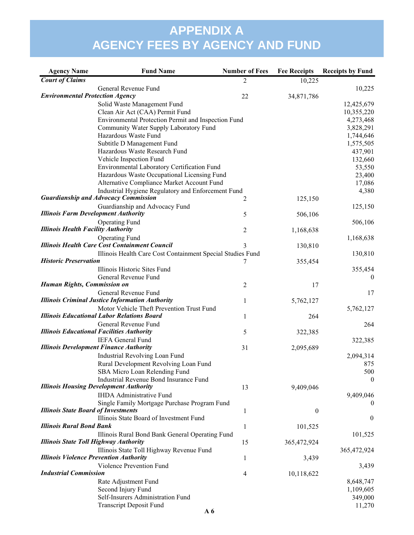| <b>Agency Name</b>                           | <b>Fund Name</b>                                           | <b>Number of Fees</b> | <b>Fee Receipts</b> | <b>Receipts by Fund</b> |
|----------------------------------------------|------------------------------------------------------------|-----------------------|---------------------|-------------------------|
| <b>Court of Claims</b>                       |                                                            | 2                     | 10,225              |                         |
|                                              | General Revenue Fund                                       |                       |                     | 10,225                  |
| <b>Environmental Protection Agency</b>       |                                                            | 22                    | 34,871,786          |                         |
|                                              | Solid Waste Management Fund                                |                       |                     | 12,425,679              |
|                                              | Clean Air Act (CAA) Permit Fund                            |                       |                     | 10,355,220              |
|                                              | Environmental Protection Permit and Inspection Fund        |                       |                     | 4,273,468               |
|                                              | Community Water Supply Laboratory Fund                     |                       |                     | 3,828,291               |
|                                              | Hazardous Waste Fund                                       |                       |                     | 1,744,646               |
|                                              | Subtitle D Management Fund                                 |                       |                     | 1,575,505               |
|                                              | Hazardous Waste Research Fund                              |                       |                     | 437,901                 |
|                                              | Vehicle Inspection Fund                                    |                       |                     | 132,660                 |
|                                              | Environmental Laboratory Certification Fund                |                       |                     | 53,550                  |
|                                              | Hazardous Waste Occupational Licensing Fund                |                       |                     | 23,400                  |
|                                              | Alternative Compliance Market Account Fund                 |                       |                     | 17,086                  |
|                                              | Industrial Hygiene Regulatory and Enforcement Fund         |                       |                     | 4,380                   |
|                                              | <b>Guardianship and Advocacy Commission</b>                | 2                     | 125,150             |                         |
|                                              | Guardianship and Advocacy Fund                             |                       |                     | 125,150                 |
| <b>Illinois Farm Development Authority</b>   |                                                            | 5                     | 506,106             |                         |
|                                              | <b>Operating Fund</b>                                      |                       |                     | 506,106                 |
| <b>Illinois Health Facility Authority</b>    |                                                            | 2                     | 1,168,638           |                         |
|                                              | <b>Operating Fund</b>                                      |                       |                     | 1,168,638               |
|                                              | <b>Illinois Health Care Cost Containment Council</b>       | 3                     | 130,810             |                         |
|                                              | Illinois Health Care Cost Containment Special Studies Fund |                       |                     | 130,810                 |
| <b>Historic Preservation</b>                 |                                                            | 7                     | 355,454             |                         |
|                                              | Illinois Historic Sites Fund                               |                       |                     | 355,454                 |
|                                              | General Revenue Fund                                       |                       |                     | $\theta$                |
| <b>Human Rights, Commission on</b>           |                                                            | 2                     | 17                  |                         |
|                                              | General Revenue Fund                                       |                       |                     | 17                      |
|                                              | <b>Illinois Criminal Justice Information Authority</b>     | $\mathbf{1}$          | 5,762,127           |                         |
|                                              | Motor Vehicle Theft Prevention Trust Fund                  |                       |                     | 5,762,127               |
|                                              | <b>Illinois Educational Labor Relations Board</b>          | 1                     | 264                 |                         |
|                                              | General Revenue Fund                                       |                       |                     | 264                     |
|                                              | <b>Illinois Educational Facilities Authority</b>           | 5                     | 322,385             |                         |
|                                              | <b>IEFA General Fund</b>                                   |                       |                     | 322,385                 |
|                                              | <b>Illinois Development Finance Authority</b>              | 31                    | 2,095,689           |                         |
|                                              | Industrial Revolving Loan Fund                             |                       |                     | 2,094,314               |
|                                              | Rural Development Revolving Loan Fund                      |                       |                     | 875                     |
|                                              | SBA Micro Loan Relending Fund                              |                       |                     | 500                     |
|                                              | <b>Industrial Revenue Bond Insurance Fund</b>              |                       |                     | $\theta$                |
|                                              | <b>Illinois Housing Development Authority</b>              | 13                    | 9,409,046           |                         |
|                                              | <b>IHDA Administrative Fund</b>                            |                       |                     | 9,409,046               |
|                                              | Single Family Mortgage Purchase Program Fund               |                       |                     | $\theta$                |
| <b>Illinois State Board of Investments</b>   |                                                            | 1                     | $\boldsymbol{0}$    |                         |
|                                              | Illinois State Board of Investment Fund                    |                       |                     | $\boldsymbol{0}$        |
| <b>Illinois Rural Bond Bank</b>              |                                                            | 1                     | 101,525             |                         |
|                                              | Illinois Rural Bond Bank General Operating Fund            |                       |                     | 101,525                 |
| <b>Illinois State Toll Highway Authority</b> |                                                            | 15                    | 365,472,924         |                         |
|                                              | Illinois State Toll Highway Revenue Fund                   |                       |                     | 365,472,924             |
|                                              | <b>Illinois Violence Prevention Authority</b>              | 1                     | 3,439               |                         |
|                                              | Violence Prevention Fund                                   |                       |                     | 3,439                   |
| <b>Industrial Commission</b>                 |                                                            | 4                     | 10,118,622          |                         |
|                                              | Rate Adjustment Fund                                       |                       |                     | 8,648,747               |
|                                              | Second Injury Fund                                         |                       |                     | 1,109,605               |
|                                              | Self-Insurers Administration Fund                          |                       |                     | 349,000                 |
|                                              | <b>Transcript Deposit Fund</b>                             |                       |                     | 11,270                  |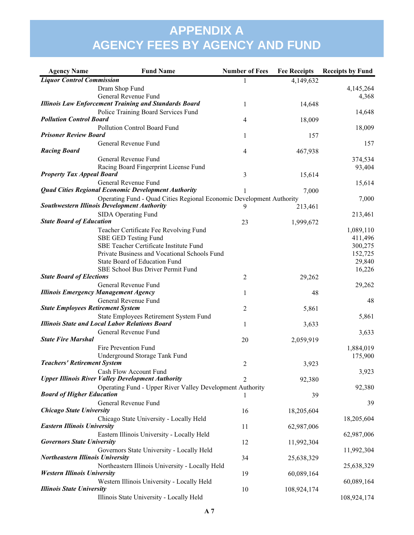| <b>Agency Name</b>                       | <b>Fund Name</b>                                                     | <b>Number of Fees</b> | <b>Fee Receipts</b> | <b>Receipts by Fund</b> |
|------------------------------------------|----------------------------------------------------------------------|-----------------------|---------------------|-------------------------|
| <b>Liquor Control Commission</b>         |                                                                      | 1                     | 4,149,632           |                         |
|                                          | Dram Shop Fund                                                       |                       |                     | 4,145,264               |
|                                          | General Revenue Fund                                                 |                       |                     | 4,368                   |
|                                          | <b>Illinois Law Enforcement Training and Standards Board</b>         | 1                     | 14,648              |                         |
|                                          | Police Training Board Services Fund                                  |                       |                     | 14,648                  |
| <b>Pollution Control Board</b>           |                                                                      | 4                     | 18,009              |                         |
| <b>Prisoner Review Board</b>             | Pollution Control Board Fund                                         | 1                     | 157                 | 18,009                  |
|                                          | General Revenue Fund                                                 |                       |                     | 157                     |
| <b>Racing Board</b>                      |                                                                      | 4                     | 467,938             |                         |
|                                          | General Revenue Fund                                                 |                       |                     | 374,534                 |
|                                          | Racing Board Fingerprint License Fund                                |                       |                     | 93,404                  |
| <b>Property Tax Appeal Board</b>         |                                                                      | 3                     | 15,614              |                         |
|                                          | General Revenue Fund                                                 |                       |                     | 15,614                  |
|                                          | <b>Quad Cities Regional Economic Development Authority</b>           |                       | 7,000               |                         |
|                                          | Operating Fund - Quad Cities Regional Economic Development Authority |                       |                     | 7,000                   |
|                                          | <b>Southwestern Illinois Development Authority</b>                   |                       | 213,461             |                         |
|                                          | SIDA Operating Fund                                                  |                       |                     | 213,461                 |
| <b>State Board of Education</b>          |                                                                      | 23                    | 1,999,672           |                         |
|                                          | Teacher Certificate Fee Revolving Fund                               |                       |                     | 1,089,110               |
|                                          | SBE GED Testing Fund<br>SBE Teacher Certificate Institute Fund       |                       |                     | 411,496                 |
|                                          | Private Business and Vocational Schools Fund                         |                       |                     | 300,275<br>152,725      |
|                                          | State Board of Education Fund                                        |                       |                     | 29,840                  |
|                                          | SBE School Bus Driver Permit Fund                                    |                       |                     | 16,226                  |
| <b>State Board of Elections</b>          |                                                                      | 2                     | 29,262              |                         |
|                                          | General Revenue Fund                                                 |                       |                     | 29,262                  |
|                                          | <b>Illinois Emergency Management Agency</b>                          | 1                     | 48                  |                         |
|                                          | General Revenue Fund                                                 |                       |                     | 48                      |
| <b>State Employees Retirement System</b> |                                                                      | 2                     | 5,861               |                         |
|                                          | State Employees Retirement System Fund                               |                       |                     | 5,861                   |
|                                          | <b>Illinois State and Local Labor Relations Board</b>                | 1                     | 3,633               |                         |
|                                          | General Revenue Fund                                                 |                       |                     | 3,633                   |
| <b>State Fire Marshal</b>                |                                                                      | 20                    | 2,059,919           |                         |
|                                          | Fire Prevention Fund                                                 |                       |                     | 1,884,019               |
|                                          | Underground Storage Tank Fund                                        |                       |                     | 175,900                 |
| <b>Teachers' Retirement System</b>       | Cash Flow Account Fund                                               | 2                     | 3,923               |                         |
|                                          | <b>Upper Illinois River Valley Development Authority</b>             | 2                     | 92,380              | 3,923                   |
|                                          | Operating Fund - Upper River Valley Development Authority            |                       |                     | 92,380                  |
| <b>Board of Higher Education</b>         |                                                                      |                       | 39                  |                         |
|                                          | General Revenue Fund                                                 |                       |                     | 39                      |
| <b>Chicago State University</b>          |                                                                      | 16                    | 18,205,604          |                         |
|                                          | Chicago State University - Locally Held                              |                       |                     | 18,205,604              |
| <b>Eastern Illinois University</b>       |                                                                      | 11                    | 62,987,006          |                         |
|                                          | Eastern Illinois University - Locally Held                           |                       |                     | 62,987,006              |
| <b>Governors State University</b>        |                                                                      | 12                    | 11,992,304          |                         |
|                                          | Governors State University - Locally Held                            |                       |                     | 11,992,304              |
| <b>Northeastern Illinois University</b>  |                                                                      | 34                    | 25,638,329          |                         |
|                                          | Northeastern Illinois University - Locally Held                      |                       |                     | 25,638,329              |
| <b>Western Illinois University</b>       |                                                                      | 19                    | 60,089,164          |                         |
| <b>Illinois State University</b>         | Western Illinois University - Locally Held                           | 10                    | 108,924,174         | 60,089,164              |
|                                          | Illinois State University - Locally Held                             |                       |                     | 108,924,174             |
|                                          |                                                                      |                       |                     |                         |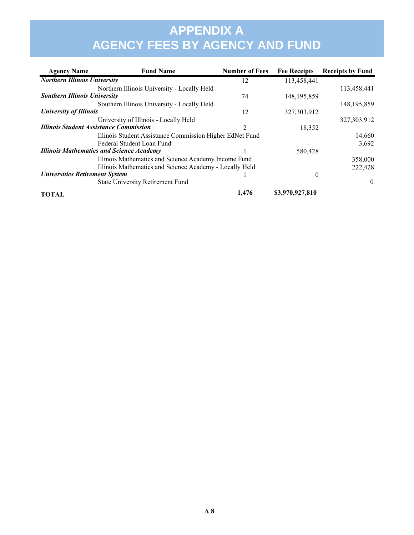| <b>Agency Name</b>                    | <b>Fund Name</b>                                         | <b>Number of Fees</b> | <b>Fee Receipts</b> | <b>Receipts by Fund</b> |
|---------------------------------------|----------------------------------------------------------|-----------------------|---------------------|-------------------------|
| <b>Northern Illinois University</b>   |                                                          | 12                    | 113,458,441         |                         |
|                                       | Northern Illinois University - Locally Held              |                       |                     | 113,458,441             |
| <b>Southern Illinois University</b>   |                                                          | 74                    | 148, 195, 859       |                         |
|                                       | Southern Illinois University - Locally Held              |                       |                     | 148, 195, 859           |
| <b>University of Illinois</b>         |                                                          | 12                    | 327, 303, 912       |                         |
|                                       | University of Illinois - Locally Held                    |                       |                     | 327, 303, 912           |
|                                       | <b>Illinois Student Assistance Commission</b>            | $\mathfrak{D}$        | 18,352              |                         |
|                                       | Illinois Student Assistance Commission Higher EdNet Fund |                       |                     | 14,660                  |
|                                       | Federal Student Loan Fund                                |                       |                     | 3,692                   |
|                                       | <b>Illinois Mathematics and Science Academy</b>          |                       | 580,428             |                         |
|                                       | Illinois Mathematics and Science Academy Income Fund     |                       |                     | 358,000                 |
|                                       | Illinois Mathematics and Science Academy - Locally Held  |                       |                     | 222,428                 |
| <b>Universities Retirement System</b> |                                                          |                       | $\theta$            |                         |
|                                       | <b>State University Retirement Fund</b>                  |                       |                     | $\Omega$                |
| <b>TOTAL</b>                          |                                                          | 1,476                 | \$3,970,927,810     |                         |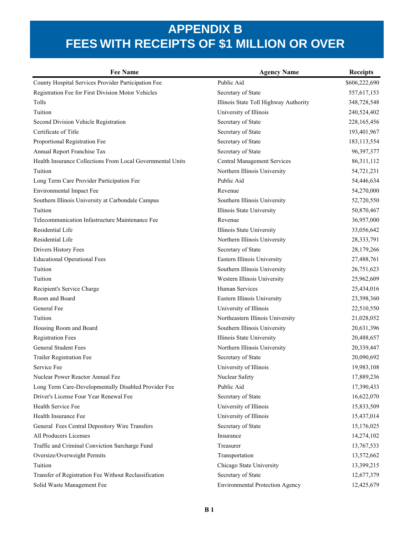| <b>Fee Name</b>                                            | <b>Agency Name</b>                     | <b>Receipts</b> |
|------------------------------------------------------------|----------------------------------------|-----------------|
| County Hospital Services Provider Participation Fee        | Public Aid                             | \$606,222,690   |
| Registration Fee for First Division Motor Vehicles         | Secretary of State                     | 557,617,153     |
| Tolls                                                      | Illinois State Toll Highway Authority  | 348,728,548     |
| Tuition                                                    | University of Illinois                 | 240,524,402     |
| Second Division Vehicle Registration                       | Secretary of State                     | 228,165,456     |
| Certificate of Title                                       | Secretary of State                     | 193,401,967     |
| Proportional Registration Fee                              | Secretary of State                     | 183, 113, 554   |
| Annual Report Franchise Tax                                | Secretary of State                     | 96,397,377      |
| Health Insurance Collections From Local Governmental Units | <b>Central Management Services</b>     | 86,311,112      |
| Tuition                                                    | Northern Illinois University           | 54,721,231      |
| Long Term Care Provider Participation Fee                  | Public Aid                             | 54,446,634      |
| Environmental Impact Fee                                   | Revenue                                | 54,270,000      |
| Southern Illinois University at Carbondale Campus          | Southern Illinois University           | 52,720,550      |
| Tuition                                                    | Illinois State University              | 50,870,467      |
| Telecommunication Infastructure Maintenance Fee            | Revenue                                | 36,957,000      |
| Residential Life                                           | Illinois State University              | 33,056,642      |
| Residential Life                                           | Northern Illinois University           | 28, 333, 791    |
| Drivers History Fees                                       | Secretary of State                     | 28,179,266      |
| <b>Educational Operational Fees</b>                        | Eastern Illinois University            | 27,488,761      |
| Tuition                                                    | Southern Illinois University           | 26,751,623      |
| Tuition                                                    | Western Illinois University            | 25,962,609      |
| Recipient's Service Charge                                 | Human Services                         | 25,434,016      |
| Room and Board                                             | Eastern Illinois University            | 23,398,360      |
| General Fee                                                | University of Illinois                 | 22,510,550      |
| Tuition                                                    | Northeastern Illinois University       | 21,028,052      |
| Housing Room and Board                                     | Southern Illinois University           | 20,631,396      |
| <b>Registration Fees</b>                                   | Illinois State University              | 20,488,657      |
| <b>General Student Fees</b>                                | Northern Illinois University           | 20,339,447      |
| <b>Trailer Registration Fee</b>                            | Secretary of State                     | 20,090,692      |
| Service Fee                                                | University of Illinois                 | 19,983,108      |
| Nuclear Power Reactor Annual Fee                           | Nuclear Safety                         | 17,889,236      |
| Long Term Care-Developmentally Disabled Provider Fee       | Public Aid                             | 17,390,433      |
| Driver's License Four Year Renewal Fee                     | Secretary of State                     | 16,622,070      |
| Health Service Fee                                         | University of Illinois                 | 15,833,509      |
| Health Insurance Fee                                       | University of Illinois                 | 15,437,014      |
| General Fees Central Depository Wire Transfers             | Secretary of State                     | 15,176,025      |
| All Producers Licenses                                     | Insurance                              | 14,274,102      |
| Traffic and Criminal Conviction Surcharge Fund             | Treasurer                              | 13,767,533      |
| Oversize/Overweight Permits                                | Transportation                         | 13,572,662      |
| Tuition                                                    | Chicago State University               | 13,399,215      |
| Transfer of Registration Fee Without Reclassification      | Secretary of State                     | 12,677,379      |
| Solid Waste Management Fee                                 | <b>Environmental Protection Agency</b> | 12,425,679      |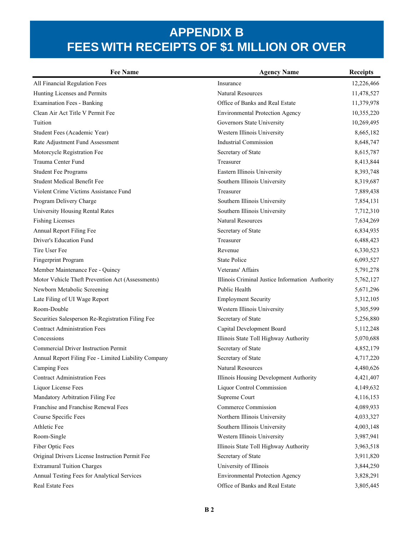| <b>Fee Name</b>                                      | <b>Agency Name</b>                              | <b>Receipts</b> |
|------------------------------------------------------|-------------------------------------------------|-----------------|
| All Financial Regulation Fees                        | Insurance                                       | 12,226,466      |
| Hunting Licenses and Permits                         | <b>Natural Resources</b>                        | 11,478,527      |
| <b>Examination Fees - Banking</b>                    | Office of Banks and Real Estate                 | 11,379,978      |
| Clean Air Act Title V Permit Fee                     | <b>Environmental Protection Agency</b>          | 10,355,220      |
| Tuition                                              | Governors State University                      | 10,269,495      |
| Student Fees (Academic Year)                         | Western Illinois University                     | 8,665,182       |
| Rate Adjustment Fund Assessment                      | <b>Industrial Commission</b>                    | 8,648,747       |
| Motorcycle Registration Fee                          | Secretary of State                              | 8,615,787       |
| Trauma Center Fund                                   | Treasurer                                       | 8,413,844       |
| <b>Student Fee Programs</b>                          | Eastern Illinois University                     | 8,393,748       |
| Student Medical Benefit Fee                          | Southern Illinois University                    | 8,319,687       |
| Violent Crime Victims Assistance Fund                | Treasurer                                       | 7,889,438       |
| Program Delivery Charge                              | Southern Illinois University                    | 7,854,131       |
| University Housing Rental Rates                      | Southern Illinois University                    | 7,712,310       |
| <b>Fishing Licenses</b>                              | <b>Natural Resources</b>                        | 7,634,269       |
| Annual Report Filing Fee                             | Secretary of State                              | 6,834,935       |
| Driver's Education Fund                              | Treasurer                                       | 6,488,423       |
| Tire User Fee                                        | Revenue                                         | 6,330,523       |
| Fingerprint Program                                  | <b>State Police</b>                             | 6,093,527       |
| Member Maintenance Fee - Quincy                      | Veterans' Affairs                               | 5,791,278       |
| Motor Vehicle Theft Prevention Act (Assessments)     | Illinois Criminal Justice Information Authority | 5,762,127       |
| Newborn Metabolic Screening                          | Public Health                                   | 5,671,296       |
| Late Filing of UI Wage Report                        | <b>Employment Security</b>                      | 5,312,105       |
| Room-Double                                          | Western Illinois University                     | 5,305,599       |
| Securities Salesperson Re-Registration Filing Fee    | Secretary of State                              | 5,256,880       |
| <b>Contract Administration Fees</b>                  | Capital Development Board                       | 5,112,248       |
| Concessions                                          | Illinois State Toll Highway Authority           | 5,070,688       |
| Commercial Driver Instruction Permit                 | Secretary of State                              | 4,852,179       |
| Annual Report Filing Fee - Limited Liability Company | Secretary of State                              | 4,717,220       |
| <b>Camping Fees</b>                                  | <b>Natural Resources</b>                        | 4,480,626       |
| <b>Contract Administration Fees</b>                  | Illinois Housing Development Authority          | 4,421,407       |
| Liquor License Fees                                  | <b>Liquor Control Commission</b>                | 4,149,632       |
| Mandatory Arbitration Filing Fee                     | Supreme Court                                   | 4,116,153       |
| Franchise and Franchise Renewal Fees                 | Commerce Commission                             | 4,089,933       |
| Course Specific Fees                                 | Northern Illinois University                    | 4,033,327       |
| Athletic Fee                                         | Southern Illinois University                    | 4,003,148       |
| Room-Single                                          | Western Illinois University                     | 3,987,941       |
| Fiber Optic Fees                                     | Illinois State Toll Highway Authority           | 3,963,518       |
| Original Drivers License Instruction Permit Fee      | Secretary of State                              | 3,911,820       |
| <b>Extramural Tuition Charges</b>                    | University of Illinois                          | 3,844,250       |
| Annual Testing Fees for Analytical Services          | <b>Environmental Protection Agency</b>          | 3,828,291       |
| Real Estate Fees                                     | Office of Banks and Real Estate                 | 3,805,445       |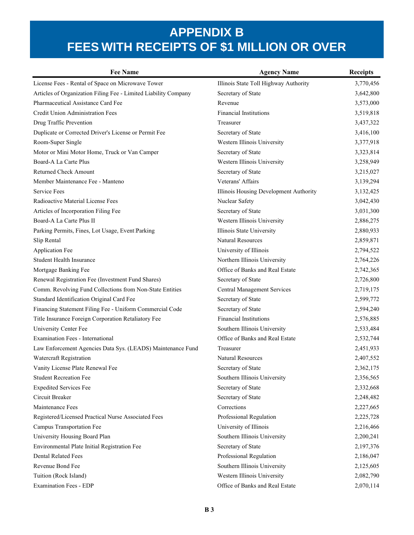| <b>Fee Name</b>                                                 | <b>Agency Name</b>                     | <b>Receipts</b> |
|-----------------------------------------------------------------|----------------------------------------|-----------------|
| License Fees - Rental of Space on Microwave Tower               | Illinois State Toll Highway Authority  | 3,770,456       |
| Articles of Organization Filing Fee - Limited Liability Company | Secretary of State                     | 3,642,800       |
| Pharmaceutical Assistance Card Fee                              | Revenue                                | 3,573,000       |
| Credit Union Administration Fees                                | <b>Financial Institutions</b>          | 3,519,818       |
| Drug Traffic Prevention                                         | Treasurer                              | 3,437,322       |
| Duplicate or Corrected Driver's License or Permit Fee           | Secretary of State                     | 3,416,100       |
| Room-Super Single                                               | Western Illinois University            | 3,377,918       |
| Motor or Mini Motor Home, Truck or Van Camper                   | Secretary of State                     | 3,323,814       |
| Board-A La Carte Plus                                           | Western Illinois University            | 3,258,949       |
| Returned Check Amount                                           | Secretary of State                     | 3,215,027       |
| Member Maintenance Fee - Manteno                                | Veterans' Affairs                      | 3,139,294       |
| Service Fees                                                    | Illinois Housing Development Authority | 3,132,425       |
| Radioactive Material License Fees                               | Nuclear Safety                         | 3,042,430       |
| Articles of Incorporation Filing Fee                            | Secretary of State                     | 3,031,300       |
| Board-A La Carte Plus II                                        | Western Illinois University            | 2,886,275       |
| Parking Permits, Fines, Lot Usage, Event Parking                | Illinois State University              | 2,880,933       |
| Slip Rental                                                     | Natural Resources                      | 2,859,871       |
| Application Fee                                                 | University of Illinois                 | 2,794,522       |
| <b>Student Health Insurance</b>                                 | Northern Illinois University           | 2,764,226       |
| Mortgage Banking Fee                                            | Office of Banks and Real Estate        | 2,742,365       |
| Renewal Registration Fee (Investment Fund Shares)               | Secretary of State                     | 2,726,800       |
| Comm. Revolving Fund Collections from Non-State Entities        | <b>Central Management Services</b>     | 2,719,175       |
| Standard Identification Original Card Fee                       | Secretary of State                     | 2,599,772       |
| Financing Statement Filing Fee - Uniform Commercial Code        | Secretary of State                     | 2,594,240       |
| Title Insurance Foreign Corporation Retaliatory Fee             | Financial Institutions                 | 2,576,885       |
| University Center Fee                                           | Southern Illinois University           | 2,533,484       |
| <b>Examination Fees - International</b>                         | Office of Banks and Real Estate        | 2,532,744       |
| Law Enforcement Agencies Data Sys. (LEADS) Maintenance Fund     | Treasurer                              | 2,451,933       |
| Watercraft Registration                                         | Natural Resources                      | 2,407,552       |
| Vanity License Plate Renewal Fee                                | Secretary of State                     | 2,362,175       |
| <b>Student Recreation Fee</b>                                   | Southern Illinois University           | 2,356,565       |
| <b>Expedited Services Fee</b>                                   | Secretary of State                     | 2,332,668       |
| Circuit Breaker                                                 | Secretary of State                     | 2,248,482       |
| Maintenance Fees                                                | Corrections                            | 2,227,665       |
| Registered/Licensed Practical Nurse Associated Fees             | Professional Regulation                | 2,225,728       |
| Campus Transportation Fee                                       | University of Illinois                 | 2,216,466       |
| University Housing Board Plan                                   | Southern Illinois University           | 2,200,241       |
| Environmental Plate Initial Registration Fee                    | Secretary of State                     | 2,197,376       |
| <b>Dental Related Fees</b>                                      | Professional Regulation                | 2,186,047       |
| Revenue Bond Fee                                                | Southern Illinois University           | 2,125,605       |
| Tuition (Rock Island)                                           | Western Illinois University            | 2,082,790       |
| <b>Examination Fees - EDP</b>                                   | Office of Banks and Real Estate        | 2,070,114       |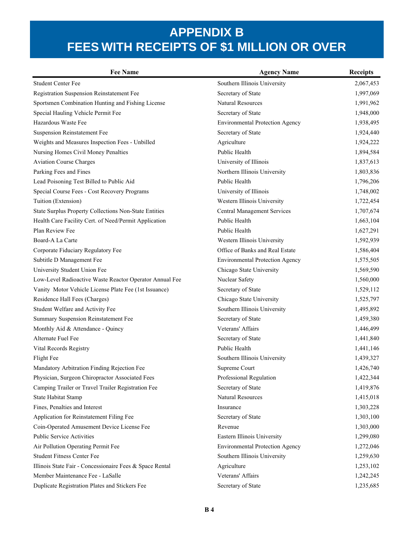| <b>Fee Name</b>                                          | <b>Agency Name</b>                     | <b>Receipts</b> |
|----------------------------------------------------------|----------------------------------------|-----------------|
| <b>Student Center Fee</b>                                | Southern Illinois University           | 2,067,453       |
| Registration Suspension Reinstatement Fee                | Secretary of State                     | 1,997,069       |
| Sportsmen Combination Hunting and Fishing License        | Natural Resources                      | 1,991,962       |
| Special Hauling Vehicle Permit Fee                       | Secretary of State                     | 1,948,000       |
| Hazardous Waste Fee                                      | <b>Environmental Protection Agency</b> | 1,938,495       |
| <b>Suspension Reinstatement Fee</b>                      | Secretary of State                     | 1,924,440       |
| Weights and Measures Inspection Fees - Unbilled          | Agriculture                            | 1,924,222       |
| Nursing Homes Civil Money Penalties                      | Public Health                          | 1,894,584       |
| <b>Aviation Course Charges</b>                           | University of Illinois                 | 1,837,613       |
| Parking Fees and Fines                                   | Northern Illinois University           | 1,803,836       |
| Lead Poisoning Test Billed to Public Aid                 | Public Health                          | 1,796,206       |
| Special Course Fees - Cost Recovery Programs             | University of Illinois                 | 1,748,002       |
| Tuition (Extension)                                      | Western Illinois University            | 1,722,454       |
| State Surplus Property Collections Non-State Entities    | <b>Central Management Services</b>     | 1,707,674       |
| Health Care Facility Cert. of Need/Permit Application    | Public Health                          | 1,663,104       |
| Plan Review Fee                                          | Public Health                          | 1,627,291       |
| Board-A La Carte                                         | Western Illinois University            | 1,592,939       |
| Corporate Fiduciary Regulatory Fee                       | Office of Banks and Real Estate        | 1,586,404       |
| Subtitle D Management Fee                                | <b>Environmental Protection Agency</b> | 1,575,505       |
| University Student Union Fee                             | Chicago State University               | 1,569,590       |
| Low-Level Radioactive Waste Reactor Operator Annual Fee  | Nuclear Safety                         | 1,560,000       |
| Vanity Motor Vehicle License Plate Fee (1st Issuance)    | Secretary of State                     | 1,529,112       |
| Residence Hall Fees (Charges)                            | Chicago State University               | 1,525,797       |
| Student Welfare and Activity Fee                         | Southern Illinois University           | 1,495,892       |
| Summary Suspension Reinstatement Fee                     | Secretary of State                     | 1,459,380       |
| Monthly Aid & Attendance - Quincy                        | Veterans' Affairs                      | 1,446,499       |
| Alternate Fuel Fee                                       | Secretary of State                     | 1,441,840       |
| Vital Records Registry                                   | Public Health                          | 1,441,146       |
| Flight Fee                                               | Southern Illinois University           | 1,439,327       |
| Mandatory Arbitration Finding Rejection Fee              | Supreme Court                          | 1,426,740       |
| Physician, Surgeon Chiropractor Associated Fees          | Professional Regulation                | 1,422,344       |
| Camping Trailer or Travel Trailer Registration Fee       | Secretary of State                     | 1,419,876       |
| State Habitat Stamp                                      | Natural Resources                      | 1,415,018       |
| Fines, Penalties and Interest                            | Insurance                              | 1,303,228       |
| Application for Reinstatement Filing Fee                 | Secretary of State                     | 1,303,100       |
| Coin-Operated Amusement Device License Fee               | Revenue                                | 1,303,000       |
| Public Service Activities                                | Eastern Illinois University            | 1,299,080       |
| Air Pollution Operating Permit Fee                       | <b>Environmental Protection Agency</b> | 1,272,046       |
| <b>Student Fitness Center Fee</b>                        | Southern Illinois University           | 1,259,630       |
| Illinois State Fair - Concessionaire Fees & Space Rental | Agriculture                            | 1,253,102       |
| Member Maintenance Fee - LaSalle                         | Veterans' Affairs                      | 1,242,245       |
| Duplicate Registration Plates and Stickers Fee           | Secretary of State                     | 1,235,685       |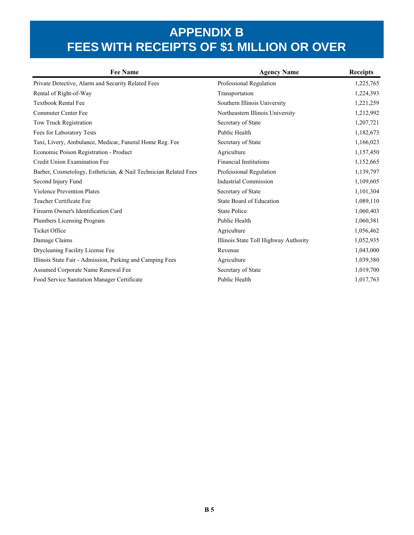| <b>Fee Name</b>                                                  | <b>Agency Name</b>                    | <b>Receipts</b> |
|------------------------------------------------------------------|---------------------------------------|-----------------|
| Private Detective, Alarm and Security Related Fees               | Professional Regulation               | 1,225,765       |
| Rental of Right-of-Way                                           | Transportation                        | 1,224,393       |
| <b>Textbook Rental Fee</b>                                       | Southern Illinois University          | 1,221,259       |
| <b>Commuter Center Fee</b>                                       | Northeastern Illinois University      | 1,212,992       |
| Tow Truck Registration                                           | Secretary of State                    | 1,207,721       |
| Fees for Laboratory Tests                                        | Public Health                         | 1,182,673       |
| Taxi, Livery, Ambulance, Medicar, Funeral Home Reg. Fee          | Secretary of State                    | 1,166,023       |
| Economic Poison Registration - Product                           | Agriculture                           | 1,157,450       |
| Credit Union Examination Fee                                     | <b>Financial Institutions</b>         | 1,152,665       |
| Barber, Cosmetology, Esthetician, & Nail Technician Related Fees | Professional Regulation               | 1,139,797       |
| Second Injury Fund                                               | <b>Industrial Commission</b>          | 1,109,605       |
| <b>Violence Prevention Plates</b>                                | Secretary of State                    | 1,101,304       |
| Teacher Certificate Fee                                          | State Board of Education              | 1,089,110       |
| Firearm Owner's Identification Card                              | <b>State Police</b>                   | 1,060,403       |
| <b>Plumbers Licensing Program</b>                                | Public Health                         | 1,060,381       |
| Ticket Office                                                    | Agriculture                           | 1,056,462       |
| Damage Claims                                                    | Illinois State Toll Highway Authority | 1,052,935       |
| Drycleaning Facility License Fee                                 | Revenue                               | 1,043,000       |
| Illinois State Fair - Admission, Parking and Camping Fees        | Agriculture                           | 1,039,380       |
| Assumed Corporate Name Renewal Fee                               | Secretary of State                    | 1,019,700       |
| Food Service Sanitation Manager Certificate                      | Public Health                         | 1,017,763       |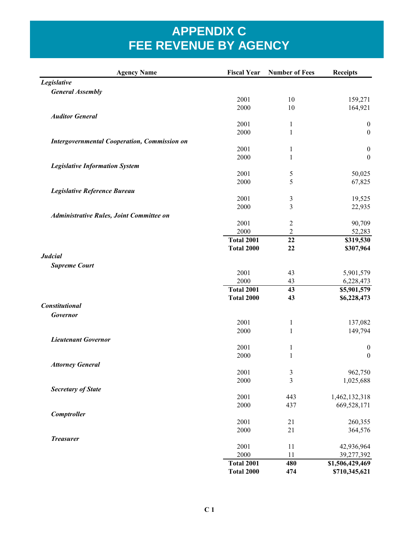| <b>Agency Name</b>                                  | <b>Fiscal Year</b> | <b>Number of Fees</b> | <b>Receipts</b>      |
|-----------------------------------------------------|--------------------|-----------------------|----------------------|
| Legislative                                         |                    |                       |                      |
| <b>General Assembly</b>                             |                    |                       |                      |
|                                                     | 2001               | 10                    | 159,271              |
|                                                     | 2000               | 10                    | 164,921              |
| <b>Auditor General</b>                              |                    |                       |                      |
|                                                     | 2001               | $\mathbf{1}$          | $\boldsymbol{0}$     |
|                                                     | 2000               | $\mathbf{1}$          | $\boldsymbol{0}$     |
| <b>Intergovernmental Cooperation, Commission on</b> |                    |                       |                      |
|                                                     | 2001<br>2000       | 1                     | $\boldsymbol{0}$     |
|                                                     |                    | 1                     | $\boldsymbol{0}$     |
| <b>Legislative Information System</b>               | 2001               |                       | 50,025               |
|                                                     | 2000               | 5<br>5                | 67,825               |
| Legislative Reference Bureau                        |                    |                       |                      |
|                                                     | 2001               | 3                     | 19,525               |
|                                                     | 2000               | 3                     | 22,935               |
| Administrative Rules, Joint Committee on            |                    |                       |                      |
|                                                     | 2001               | $\overline{c}$        | 90,709               |
|                                                     | 2000               | $\overline{2}$        | 52,283               |
|                                                     | <b>Total 2001</b>  | 22                    | \$319,530            |
|                                                     | <b>Total 2000</b>  | 22                    | \$307,964            |
| <b>Judcial</b>                                      |                    |                       |                      |
| <b>Supreme Court</b>                                |                    |                       |                      |
|                                                     | 2001               | 43                    | 5,901,579            |
|                                                     | 2000               | 43                    | 6,228,473            |
|                                                     | <b>Total 2001</b>  | 43                    | \$5,901,579          |
|                                                     | <b>Total 2000</b>  | 43                    | \$6,228,473          |
| <b>Constitutional</b>                               |                    |                       |                      |
| Governor                                            |                    |                       |                      |
|                                                     | 2001               | $\mathbf{1}$          | 137,082              |
|                                                     | 2000               | $\mathbf{1}$          | 149,794              |
| <b>Lieutenant Governor</b>                          |                    |                       |                      |
|                                                     | 2001               | $\mathbf{1}$          | $\boldsymbol{0}$     |
|                                                     | 2000               | $\mathbf{1}$          | $\boldsymbol{0}$     |
| <b>Attorney General</b>                             | 2001               |                       |                      |
|                                                     | 2000               | 3<br>3                | 962,750<br>1,025,688 |
|                                                     |                    |                       |                      |
| <b>Secretary of State</b>                           | 2001               | 443                   | 1,462,132,318        |
|                                                     | 2000               | 437                   | 669,528,171          |
| Comptroller                                         |                    |                       |                      |
|                                                     | 2001               | 21                    | 260,355              |
|                                                     | 2000               | 21                    | 364,576              |
| <b>Treasurer</b>                                    |                    |                       |                      |
|                                                     | 2001               | 11                    | 42,936,964           |
|                                                     | 2000               | 11                    | 39,277,392           |
|                                                     | <b>Total 2001</b>  | 480                   | \$1,506,429,469      |
|                                                     | <b>Total 2000</b>  | 474                   | \$710,345,621        |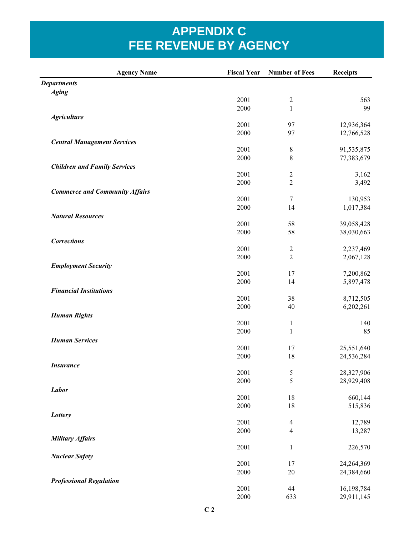| <b>Agency Name</b>                    | <b>Fiscal Year</b> | <b>Number of Fees</b>    | <b>Receipts</b> |
|---------------------------------------|--------------------|--------------------------|-----------------|
| <b>Departments</b>                    |                    |                          |                 |
| <b>Aging</b>                          |                    |                          |                 |
|                                       | 2001               | $\overline{2}$           | 563             |
|                                       | 2000               | $\mathbf{1}$             | 99              |
| <b>Agriculture</b>                    |                    |                          |                 |
|                                       | 2001               | 97                       | 12,936,364      |
|                                       | 2000               | 97                       | 12,766,528      |
| <b>Central Management Services</b>    | 2001               | 8                        | 91,535,875      |
|                                       | 2000               | 8                        | 77,383,679      |
| <b>Children and Family Services</b>   |                    |                          |                 |
|                                       | 2001               | $\overline{2}$           | 3,162           |
|                                       | 2000               | $\overline{2}$           | 3,492           |
| <b>Commerce and Community Affairs</b> |                    |                          |                 |
|                                       | 2001               | $\boldsymbol{7}$         | 130,953         |
|                                       | 2000               | 14                       | 1,017,384       |
| <b>Natural Resources</b>              |                    |                          |                 |
|                                       | 2001               | 58                       | 39,058,428      |
|                                       | 2000               | 58                       | 38,030,663      |
| <b>Corrections</b>                    |                    |                          |                 |
|                                       | 2001               | $\overline{c}$           | 2,237,469       |
|                                       | 2000               | $\overline{2}$           | 2,067,128       |
| <b>Employment Security</b>            |                    |                          |                 |
|                                       | 2001<br>2000       | 17<br>14                 | 7,200,862       |
| <b>Financial Institutions</b>         |                    |                          | 5,897,478       |
|                                       | 2001               | 38                       | 8,712,505       |
|                                       | 2000               | 40                       | 6,202,261       |
| <b>Human Rights</b>                   |                    |                          |                 |
|                                       | 2001               | $\mathbf{1}$             | 140             |
|                                       | 2000               | $\mathbf 1$              | 85              |
| <b>Human Services</b>                 |                    |                          |                 |
|                                       | 2001               | 17                       | 25,551,640      |
|                                       | 2000               | 18                       | 24,536,284      |
| <b>Insurance</b>                      |                    |                          |                 |
|                                       | 2001               | 5                        | 28,327,906      |
|                                       | 2000               | 5                        | 28,929,408      |
| <b>Labor</b>                          |                    |                          |                 |
|                                       | 2001<br>2000       | $18\,$<br>18             | 660,144         |
| Lottery                               |                    |                          | 515,836         |
|                                       | 2001               | $\overline{\mathcal{A}}$ | 12,789          |
|                                       | 2000               | $\overline{4}$           | 13,287          |
| <b>Military Affairs</b>               |                    |                          |                 |
|                                       | 2001               | $\,1$                    | 226,570         |
| <b>Nuclear Safety</b>                 |                    |                          |                 |
|                                       | 2001               | 17                       | 24,264,369      |
|                                       | 2000               | $20\,$                   | 24,384,660      |
| <b>Professional Regulation</b>        |                    |                          |                 |
|                                       | 2001               | 44                       | 16,198,784      |
|                                       | 2000               | 633                      | 29,911,145      |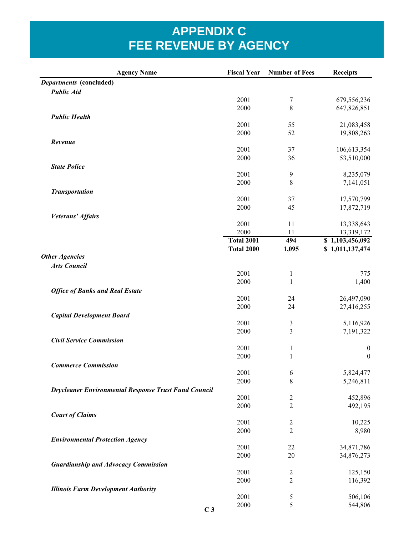| <b>Agency Name</b>                                          | <b>Fiscal Year</b> | <b>Number of Fees</b>        | <b>Receipts</b>                      |
|-------------------------------------------------------------|--------------------|------------------------------|--------------------------------------|
| Departments (concluded)                                     |                    |                              |                                      |
| <b>Public Aid</b>                                           |                    |                              |                                      |
|                                                             | 2001               | $\overline{7}$               | 679,556,236                          |
|                                                             | 2000               | 8                            | 647,826,851                          |
| <b>Public Health</b>                                        | 2001               |                              |                                      |
|                                                             | 2000               | 55<br>52                     | 21,083,458<br>19,808,263             |
| Revenue                                                     |                    |                              |                                      |
|                                                             | 2001               | 37                           | 106,613,354                          |
|                                                             | 2000               | 36                           | 53,510,000                           |
| <b>State Police</b>                                         |                    |                              |                                      |
|                                                             | 2001               | 9                            | 8,235,079                            |
|                                                             | 2000               | 8                            | 7,141,051                            |
| <b>Transportation</b>                                       |                    |                              |                                      |
|                                                             | 2001               | 37                           | 17,570,799                           |
|                                                             | 2000               | 45                           | 17,872,719                           |
| Veterans' Affairs                                           |                    |                              |                                      |
|                                                             | 2001<br>2000       | 11<br>11                     | 13,338,643                           |
|                                                             | <b>Total 2001</b>  | 494                          | 13,319,172<br>\$1,103,456,092        |
|                                                             | <b>Total 2000</b>  | 1,095                        | \$1,011,137,474                      |
| <b>Other Agencies</b>                                       |                    |                              |                                      |
| <b>Arts Council</b>                                         |                    |                              |                                      |
|                                                             | 2001               | $\mathbf{1}$                 | 775                                  |
|                                                             | 2000               | $\mathbf{1}$                 | 1,400                                |
| <b>Office of Banks and Real Estate</b>                      |                    |                              |                                      |
|                                                             | 2001               | 24                           | 26,497,090                           |
|                                                             | 2000               | 24                           | 27,416,255                           |
| <b>Capital Development Board</b>                            |                    |                              |                                      |
|                                                             | 2001               | 3                            | 5,116,926                            |
|                                                             | 2000               | $\mathfrak{Z}$               | 7,191,322                            |
| <b>Civil Service Commission</b>                             | 2001               |                              |                                      |
|                                                             | 2000               | $\mathbf{1}$<br>$\mathbf{1}$ | $\boldsymbol{0}$<br>$\boldsymbol{0}$ |
| <b>Commerce Commission</b>                                  |                    |                              |                                      |
|                                                             | 2001               | 6                            | 5,824,477                            |
|                                                             | 2000               | 8                            | 5,246,811                            |
| <b>Drycleaner Environmental Response Trust Fund Council</b> |                    |                              |                                      |
|                                                             | 2001               | $\overline{c}$               | 452,896                              |
|                                                             | 2000               | $\overline{2}$               | 492,195                              |
| <b>Court of Claims</b>                                      |                    |                              |                                      |
|                                                             | 2001               | $\overline{\mathbf{c}}$      | 10,225                               |
|                                                             | 2000               | $\overline{2}$               | 8,980                                |
| <b>Environmental Protection Agency</b>                      |                    |                              |                                      |
|                                                             | 2001               | 22                           | 34,871,786                           |
|                                                             | 2000               | 20                           | 34,876,273                           |
| <b>Guardianship and Advocacy Commission</b>                 | 2001               | $\overline{c}$               | 125,150                              |
|                                                             | 2000               | $\overline{2}$               | 116,392                              |
| <b>Illinois Farm Development Authority</b>                  |                    |                              |                                      |
|                                                             | 2001               | 5                            | 506,106                              |
|                                                             | 2000               | 5                            | 544,806                              |
| C <sub>3</sub>                                              |                    |                              |                                      |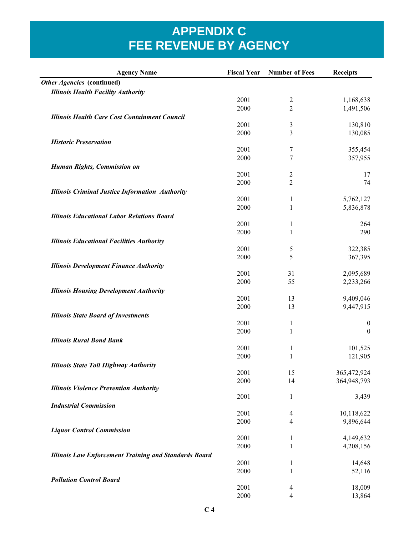| <b>Agency Name</b>                                           |      | <b>Fiscal Year</b> Number of Fees | <b>Receipts</b>  |
|--------------------------------------------------------------|------|-----------------------------------|------------------|
| Other Agencies (continued)                                   |      |                                   |                  |
| <b>Illinois Health Facility Authority</b>                    |      |                                   |                  |
|                                                              | 2001 | $\overline{2}$                    | 1,168,638        |
|                                                              | 2000 | $\overline{c}$                    | 1,491,506        |
| <b>Illinois Health Care Cost Containment Council</b>         |      |                                   |                  |
|                                                              | 2001 | 3                                 | 130,810          |
|                                                              | 2000 | 3                                 | 130,085          |
| <b>Historic Preservation</b>                                 |      |                                   |                  |
|                                                              | 2001 | 7                                 | 355,454          |
|                                                              | 2000 | 7                                 | 357,955          |
| Human Rights, Commission on                                  |      |                                   |                  |
|                                                              | 2001 | $\overline{c}$                    | 17               |
|                                                              | 2000 | $\overline{2}$                    | 74               |
| <b>Illinois Criminal Justice Information Authority</b>       |      |                                   |                  |
|                                                              | 2001 | 1                                 | 5,762,127        |
|                                                              | 2000 | 1                                 | 5,836,878        |
| <b>Illinois Educational Labor Relations Board</b>            |      |                                   |                  |
|                                                              | 2001 | 1                                 | 264              |
|                                                              | 2000 | $\mathbf{1}$                      | 290              |
| <b>Illinois Educational Facilities Authority</b>             |      |                                   |                  |
|                                                              | 2001 | 5                                 | 322,385          |
|                                                              | 2000 | 5                                 | 367,395          |
| <b>Illinois Development Finance Authority</b>                |      |                                   |                  |
|                                                              | 2001 | 31                                | 2,095,689        |
|                                                              | 2000 | 55                                | 2,233,266        |
| <b>Illinois Housing Development Authority</b>                |      |                                   |                  |
|                                                              | 2001 | 13                                | 9,409,046        |
|                                                              | 2000 | 13                                | 9,447,915        |
| <b>Illinois State Board of Investments</b>                   |      |                                   |                  |
|                                                              | 2001 | $\mathbf{1}$                      | $\boldsymbol{0}$ |
|                                                              | 2000 | $\mathbf{1}$                      | $\boldsymbol{0}$ |
| <b>Illinois Rural Bond Bank</b>                              |      |                                   |                  |
|                                                              | 2001 | $\mathbf{1}$                      | 101,525          |
|                                                              | 2000 | $\,1$                             | 121,905          |
| <b>Illinois State Toll Highway Authority</b>                 |      |                                   |                  |
|                                                              | 2001 | 15                                | 365,472,924      |
|                                                              | 2000 | 14                                | 364,948,793      |
| <b>Illinois Violence Prevention Authority</b>                |      |                                   |                  |
|                                                              | 2001 | 1                                 | 3,439            |
| <b>Industrial Commission</b>                                 |      |                                   |                  |
|                                                              | 2001 | 4                                 | 10,118,622       |
|                                                              | 2000 | 4                                 | 9,896,644        |
| <b>Liquor Control Commission</b>                             |      |                                   |                  |
|                                                              | 2001 | 1                                 | 4,149,632        |
|                                                              | 2000 | 1                                 | 4,208,156        |
| <b>Illinois Law Enforcement Training and Standards Board</b> |      |                                   |                  |
|                                                              | 2001 | 1                                 | 14,648           |
|                                                              | 2000 | $\mathbf{1}$                      | 52,116           |
| <b>Pollution Control Board</b>                               |      |                                   |                  |
|                                                              | 2001 | 4                                 | 18,009           |
|                                                              | 2000 | 4                                 | 13,864           |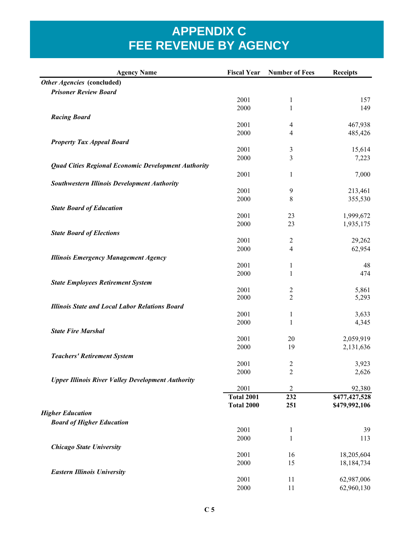| Other Agencies (concluded)<br><b>Prisoner Review Board</b><br>2001<br>157<br>1<br>2000<br>1<br>149<br><b>Racing Board</b><br>2001<br>467,938<br>4<br>2000<br>4<br>485,426<br><b>Property Tax Appeal Board</b><br>2001<br>15,614<br>3<br>2000<br>3<br>7,223<br><b>Quad Cities Regional Economic Development Authority</b><br>2001<br>$\mathbf{1}$<br>7,000<br><b>Southwestern Illinois Development Authority</b><br>2001<br>9<br>213,461<br>2000<br>8<br>355,530<br><b>State Board of Education</b><br>2001<br>23<br>1,999,672<br>2000<br>23<br>1,935,175<br><b>State Board of Elections</b><br>2001<br>29,262<br>$\overline{2}$<br>4<br>2000<br>62,954<br><b>Illinois Emergency Management Agency</b><br>2001<br>1<br>48<br>2000<br>$\mathbf{1}$<br>474<br><b>State Employees Retirement System</b><br>2001<br>2<br>5,861<br>$\overline{2}$<br>2000<br>5,293<br><b>Illinois State and Local Labor Relations Board</b><br>2001<br>1<br>3,633<br>2000<br>$\mathbf{1}$<br>4,345<br><b>State Fire Marshal</b><br>2001<br>2,059,919<br>20<br>2000<br>19<br>2,131,636<br><b>Teachers' Retirement System</b><br>2001<br>$\overline{c}$<br>3,923<br>2000<br>$\overline{c}$<br>2,626<br><b>Upper Illinois River Valley Development Authority</b><br>2001<br>92,380<br>$\overline{2}$<br>\$477,427,528<br><b>Total 2001</b><br>232<br>\$479,992,106<br>Total 2000<br>251<br><b>Higher Education</b><br><b>Board of Higher Education</b><br>2001<br>$\mathbf{1}$<br>39<br>2000<br>$\mathbf{1}$<br>113<br><b>Chicago State University</b><br>2001<br>16<br>18,205,604<br>2000<br>15<br>18,184,734<br><b>Eastern Illinois University</b><br>2001<br>11<br>62,987,006<br>2000<br>11<br>62,960,130 | <b>Agency Name</b> | <b>Fiscal Year</b> Number of Fees | <b>Receipts</b> |
|-------------------------------------------------------------------------------------------------------------------------------------------------------------------------------------------------------------------------------------------------------------------------------------------------------------------------------------------------------------------------------------------------------------------------------------------------------------------------------------------------------------------------------------------------------------------------------------------------------------------------------------------------------------------------------------------------------------------------------------------------------------------------------------------------------------------------------------------------------------------------------------------------------------------------------------------------------------------------------------------------------------------------------------------------------------------------------------------------------------------------------------------------------------------------------------------------------------------------------------------------------------------------------------------------------------------------------------------------------------------------------------------------------------------------------------------------------------------------------------------------------------------------------------------------------------------------------------------------------------------------------------------------------------------------------------|--------------------|-----------------------------------|-----------------|
|                                                                                                                                                                                                                                                                                                                                                                                                                                                                                                                                                                                                                                                                                                                                                                                                                                                                                                                                                                                                                                                                                                                                                                                                                                                                                                                                                                                                                                                                                                                                                                                                                                                                                     |                    |                                   |                 |
|                                                                                                                                                                                                                                                                                                                                                                                                                                                                                                                                                                                                                                                                                                                                                                                                                                                                                                                                                                                                                                                                                                                                                                                                                                                                                                                                                                                                                                                                                                                                                                                                                                                                                     |                    |                                   |                 |
|                                                                                                                                                                                                                                                                                                                                                                                                                                                                                                                                                                                                                                                                                                                                                                                                                                                                                                                                                                                                                                                                                                                                                                                                                                                                                                                                                                                                                                                                                                                                                                                                                                                                                     |                    |                                   |                 |
|                                                                                                                                                                                                                                                                                                                                                                                                                                                                                                                                                                                                                                                                                                                                                                                                                                                                                                                                                                                                                                                                                                                                                                                                                                                                                                                                                                                                                                                                                                                                                                                                                                                                                     |                    |                                   |                 |
|                                                                                                                                                                                                                                                                                                                                                                                                                                                                                                                                                                                                                                                                                                                                                                                                                                                                                                                                                                                                                                                                                                                                                                                                                                                                                                                                                                                                                                                                                                                                                                                                                                                                                     |                    |                                   |                 |
|                                                                                                                                                                                                                                                                                                                                                                                                                                                                                                                                                                                                                                                                                                                                                                                                                                                                                                                                                                                                                                                                                                                                                                                                                                                                                                                                                                                                                                                                                                                                                                                                                                                                                     |                    |                                   |                 |
|                                                                                                                                                                                                                                                                                                                                                                                                                                                                                                                                                                                                                                                                                                                                                                                                                                                                                                                                                                                                                                                                                                                                                                                                                                                                                                                                                                                                                                                                                                                                                                                                                                                                                     |                    |                                   |                 |
|                                                                                                                                                                                                                                                                                                                                                                                                                                                                                                                                                                                                                                                                                                                                                                                                                                                                                                                                                                                                                                                                                                                                                                                                                                                                                                                                                                                                                                                                                                                                                                                                                                                                                     |                    |                                   |                 |
|                                                                                                                                                                                                                                                                                                                                                                                                                                                                                                                                                                                                                                                                                                                                                                                                                                                                                                                                                                                                                                                                                                                                                                                                                                                                                                                                                                                                                                                                                                                                                                                                                                                                                     |                    |                                   |                 |
|                                                                                                                                                                                                                                                                                                                                                                                                                                                                                                                                                                                                                                                                                                                                                                                                                                                                                                                                                                                                                                                                                                                                                                                                                                                                                                                                                                                                                                                                                                                                                                                                                                                                                     |                    |                                   |                 |
|                                                                                                                                                                                                                                                                                                                                                                                                                                                                                                                                                                                                                                                                                                                                                                                                                                                                                                                                                                                                                                                                                                                                                                                                                                                                                                                                                                                                                                                                                                                                                                                                                                                                                     |                    |                                   |                 |
|                                                                                                                                                                                                                                                                                                                                                                                                                                                                                                                                                                                                                                                                                                                                                                                                                                                                                                                                                                                                                                                                                                                                                                                                                                                                                                                                                                                                                                                                                                                                                                                                                                                                                     |                    |                                   |                 |
|                                                                                                                                                                                                                                                                                                                                                                                                                                                                                                                                                                                                                                                                                                                                                                                                                                                                                                                                                                                                                                                                                                                                                                                                                                                                                                                                                                                                                                                                                                                                                                                                                                                                                     |                    |                                   |                 |
|                                                                                                                                                                                                                                                                                                                                                                                                                                                                                                                                                                                                                                                                                                                                                                                                                                                                                                                                                                                                                                                                                                                                                                                                                                                                                                                                                                                                                                                                                                                                                                                                                                                                                     |                    |                                   |                 |
|                                                                                                                                                                                                                                                                                                                                                                                                                                                                                                                                                                                                                                                                                                                                                                                                                                                                                                                                                                                                                                                                                                                                                                                                                                                                                                                                                                                                                                                                                                                                                                                                                                                                                     |                    |                                   |                 |
|                                                                                                                                                                                                                                                                                                                                                                                                                                                                                                                                                                                                                                                                                                                                                                                                                                                                                                                                                                                                                                                                                                                                                                                                                                                                                                                                                                                                                                                                                                                                                                                                                                                                                     |                    |                                   |                 |
|                                                                                                                                                                                                                                                                                                                                                                                                                                                                                                                                                                                                                                                                                                                                                                                                                                                                                                                                                                                                                                                                                                                                                                                                                                                                                                                                                                                                                                                                                                                                                                                                                                                                                     |                    |                                   |                 |
|                                                                                                                                                                                                                                                                                                                                                                                                                                                                                                                                                                                                                                                                                                                                                                                                                                                                                                                                                                                                                                                                                                                                                                                                                                                                                                                                                                                                                                                                                                                                                                                                                                                                                     |                    |                                   |                 |
|                                                                                                                                                                                                                                                                                                                                                                                                                                                                                                                                                                                                                                                                                                                                                                                                                                                                                                                                                                                                                                                                                                                                                                                                                                                                                                                                                                                                                                                                                                                                                                                                                                                                                     |                    |                                   |                 |
|                                                                                                                                                                                                                                                                                                                                                                                                                                                                                                                                                                                                                                                                                                                                                                                                                                                                                                                                                                                                                                                                                                                                                                                                                                                                                                                                                                                                                                                                                                                                                                                                                                                                                     |                    |                                   |                 |
|                                                                                                                                                                                                                                                                                                                                                                                                                                                                                                                                                                                                                                                                                                                                                                                                                                                                                                                                                                                                                                                                                                                                                                                                                                                                                                                                                                                                                                                                                                                                                                                                                                                                                     |                    |                                   |                 |
|                                                                                                                                                                                                                                                                                                                                                                                                                                                                                                                                                                                                                                                                                                                                                                                                                                                                                                                                                                                                                                                                                                                                                                                                                                                                                                                                                                                                                                                                                                                                                                                                                                                                                     |                    |                                   |                 |
|                                                                                                                                                                                                                                                                                                                                                                                                                                                                                                                                                                                                                                                                                                                                                                                                                                                                                                                                                                                                                                                                                                                                                                                                                                                                                                                                                                                                                                                                                                                                                                                                                                                                                     |                    |                                   |                 |
|                                                                                                                                                                                                                                                                                                                                                                                                                                                                                                                                                                                                                                                                                                                                                                                                                                                                                                                                                                                                                                                                                                                                                                                                                                                                                                                                                                                                                                                                                                                                                                                                                                                                                     |                    |                                   |                 |
|                                                                                                                                                                                                                                                                                                                                                                                                                                                                                                                                                                                                                                                                                                                                                                                                                                                                                                                                                                                                                                                                                                                                                                                                                                                                                                                                                                                                                                                                                                                                                                                                                                                                                     |                    |                                   |                 |
|                                                                                                                                                                                                                                                                                                                                                                                                                                                                                                                                                                                                                                                                                                                                                                                                                                                                                                                                                                                                                                                                                                                                                                                                                                                                                                                                                                                                                                                                                                                                                                                                                                                                                     |                    |                                   |                 |
|                                                                                                                                                                                                                                                                                                                                                                                                                                                                                                                                                                                                                                                                                                                                                                                                                                                                                                                                                                                                                                                                                                                                                                                                                                                                                                                                                                                                                                                                                                                                                                                                                                                                                     |                    |                                   |                 |
|                                                                                                                                                                                                                                                                                                                                                                                                                                                                                                                                                                                                                                                                                                                                                                                                                                                                                                                                                                                                                                                                                                                                                                                                                                                                                                                                                                                                                                                                                                                                                                                                                                                                                     |                    |                                   |                 |
|                                                                                                                                                                                                                                                                                                                                                                                                                                                                                                                                                                                                                                                                                                                                                                                                                                                                                                                                                                                                                                                                                                                                                                                                                                                                                                                                                                                                                                                                                                                                                                                                                                                                                     |                    |                                   |                 |
|                                                                                                                                                                                                                                                                                                                                                                                                                                                                                                                                                                                                                                                                                                                                                                                                                                                                                                                                                                                                                                                                                                                                                                                                                                                                                                                                                                                                                                                                                                                                                                                                                                                                                     |                    |                                   |                 |
|                                                                                                                                                                                                                                                                                                                                                                                                                                                                                                                                                                                                                                                                                                                                                                                                                                                                                                                                                                                                                                                                                                                                                                                                                                                                                                                                                                                                                                                                                                                                                                                                                                                                                     |                    |                                   |                 |
|                                                                                                                                                                                                                                                                                                                                                                                                                                                                                                                                                                                                                                                                                                                                                                                                                                                                                                                                                                                                                                                                                                                                                                                                                                                                                                                                                                                                                                                                                                                                                                                                                                                                                     |                    |                                   |                 |
|                                                                                                                                                                                                                                                                                                                                                                                                                                                                                                                                                                                                                                                                                                                                                                                                                                                                                                                                                                                                                                                                                                                                                                                                                                                                                                                                                                                                                                                                                                                                                                                                                                                                                     |                    |                                   |                 |
|                                                                                                                                                                                                                                                                                                                                                                                                                                                                                                                                                                                                                                                                                                                                                                                                                                                                                                                                                                                                                                                                                                                                                                                                                                                                                                                                                                                                                                                                                                                                                                                                                                                                                     |                    |                                   |                 |
|                                                                                                                                                                                                                                                                                                                                                                                                                                                                                                                                                                                                                                                                                                                                                                                                                                                                                                                                                                                                                                                                                                                                                                                                                                                                                                                                                                                                                                                                                                                                                                                                                                                                                     |                    |                                   |                 |
|                                                                                                                                                                                                                                                                                                                                                                                                                                                                                                                                                                                                                                                                                                                                                                                                                                                                                                                                                                                                                                                                                                                                                                                                                                                                                                                                                                                                                                                                                                                                                                                                                                                                                     |                    |                                   |                 |
|                                                                                                                                                                                                                                                                                                                                                                                                                                                                                                                                                                                                                                                                                                                                                                                                                                                                                                                                                                                                                                                                                                                                                                                                                                                                                                                                                                                                                                                                                                                                                                                                                                                                                     |                    |                                   |                 |
|                                                                                                                                                                                                                                                                                                                                                                                                                                                                                                                                                                                                                                                                                                                                                                                                                                                                                                                                                                                                                                                                                                                                                                                                                                                                                                                                                                                                                                                                                                                                                                                                                                                                                     |                    |                                   |                 |
|                                                                                                                                                                                                                                                                                                                                                                                                                                                                                                                                                                                                                                                                                                                                                                                                                                                                                                                                                                                                                                                                                                                                                                                                                                                                                                                                                                                                                                                                                                                                                                                                                                                                                     |                    |                                   |                 |
|                                                                                                                                                                                                                                                                                                                                                                                                                                                                                                                                                                                                                                                                                                                                                                                                                                                                                                                                                                                                                                                                                                                                                                                                                                                                                                                                                                                                                                                                                                                                                                                                                                                                                     |                    |                                   |                 |
|                                                                                                                                                                                                                                                                                                                                                                                                                                                                                                                                                                                                                                                                                                                                                                                                                                                                                                                                                                                                                                                                                                                                                                                                                                                                                                                                                                                                                                                                                                                                                                                                                                                                                     |                    |                                   |                 |
|                                                                                                                                                                                                                                                                                                                                                                                                                                                                                                                                                                                                                                                                                                                                                                                                                                                                                                                                                                                                                                                                                                                                                                                                                                                                                                                                                                                                                                                                                                                                                                                                                                                                                     |                    |                                   |                 |
|                                                                                                                                                                                                                                                                                                                                                                                                                                                                                                                                                                                                                                                                                                                                                                                                                                                                                                                                                                                                                                                                                                                                                                                                                                                                                                                                                                                                                                                                                                                                                                                                                                                                                     |                    |                                   |                 |
|                                                                                                                                                                                                                                                                                                                                                                                                                                                                                                                                                                                                                                                                                                                                                                                                                                                                                                                                                                                                                                                                                                                                                                                                                                                                                                                                                                                                                                                                                                                                                                                                                                                                                     |                    |                                   |                 |
|                                                                                                                                                                                                                                                                                                                                                                                                                                                                                                                                                                                                                                                                                                                                                                                                                                                                                                                                                                                                                                                                                                                                                                                                                                                                                                                                                                                                                                                                                                                                                                                                                                                                                     |                    |                                   |                 |
|                                                                                                                                                                                                                                                                                                                                                                                                                                                                                                                                                                                                                                                                                                                                                                                                                                                                                                                                                                                                                                                                                                                                                                                                                                                                                                                                                                                                                                                                                                                                                                                                                                                                                     |                    |                                   |                 |
|                                                                                                                                                                                                                                                                                                                                                                                                                                                                                                                                                                                                                                                                                                                                                                                                                                                                                                                                                                                                                                                                                                                                                                                                                                                                                                                                                                                                                                                                                                                                                                                                                                                                                     |                    |                                   |                 |
|                                                                                                                                                                                                                                                                                                                                                                                                                                                                                                                                                                                                                                                                                                                                                                                                                                                                                                                                                                                                                                                                                                                                                                                                                                                                                                                                                                                                                                                                                                                                                                                                                                                                                     |                    |                                   |                 |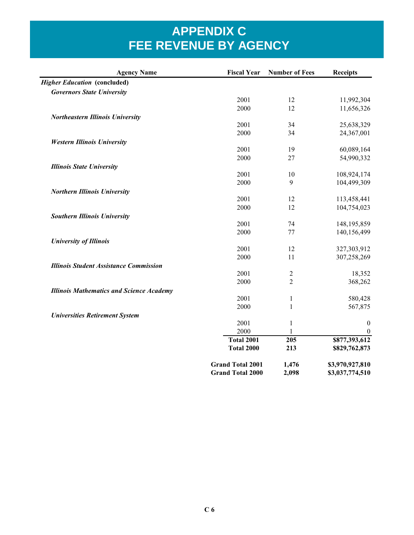| <b>Agency Name</b>                              | <b>Fiscal Year</b>      | <b>Number of Fees</b> | <b>Receipts</b>  |
|-------------------------------------------------|-------------------------|-----------------------|------------------|
| <b>Higher Education (concluded)</b>             |                         |                       |                  |
| <b>Governors State University</b>               |                         |                       |                  |
|                                                 | 2001                    | 12                    | 11,992,304       |
|                                                 | 2000                    | 12                    | 11,656,326       |
| <b>Northeastern Illinois University</b>         |                         |                       |                  |
|                                                 | 2001                    | 34                    | 25,638,329       |
|                                                 | 2000                    | 34                    | 24,367,001       |
| <b>Western Illinois University</b>              |                         |                       |                  |
|                                                 | 2001                    | 19                    | 60,089,164       |
|                                                 | 2000                    | 27                    | 54,990,332       |
| <b>Illinois State University</b>                |                         |                       |                  |
|                                                 | 2001                    | 10                    | 108,924,174      |
|                                                 | 2000                    | 9                     | 104,499,309      |
| <b>Northern Illinois University</b>             |                         |                       |                  |
|                                                 | 2001                    | 12                    | 113,458,441      |
|                                                 | 2000                    | 12                    | 104,754,023      |
| <b>Southern Illinois University</b>             |                         |                       |                  |
|                                                 | 2001                    | 74                    | 148, 195, 859    |
|                                                 | 2000                    | 77                    | 140,156,499      |
| <b>University of Illinois</b>                   |                         |                       |                  |
|                                                 | 2001                    | 12                    | 327,303,912      |
|                                                 | 2000                    | 11                    | 307,258,269      |
| <b>Illinois Student Assistance Commission</b>   |                         |                       |                  |
|                                                 | 2001                    | $\overline{2}$        | 18,352           |
|                                                 | 2000                    | $\overline{2}$        | 368,262          |
| <b>Illinois Mathematics and Science Academy</b> |                         |                       |                  |
|                                                 | 2001                    | $\mathbf{1}$          | 580,428          |
|                                                 | 2000                    | 1                     | 567,875          |
| <b>Universities Retirement System</b>           |                         |                       |                  |
|                                                 | 2001                    | $\mathbf{1}$          | $\boldsymbol{0}$ |
|                                                 | 2000                    | 1                     | $\boldsymbol{0}$ |
|                                                 | <b>Total 2001</b>       | $\overline{205}$      | \$877,393,612    |
|                                                 | <b>Total 2000</b>       | 213                   | \$829,762,873    |
|                                                 | <b>Grand Total 2001</b> | 1,476                 | \$3,970,927,810  |
|                                                 | <b>Grand Total 2000</b> | 2,098                 | \$3,037,774,510  |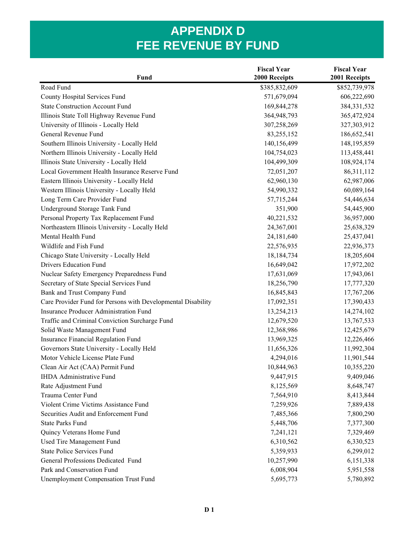| Fund                                                         | <b>Fiscal Year</b><br>2000 Receipts | <b>Fiscal Year</b><br>2001 Receipts |  |
|--------------------------------------------------------------|-------------------------------------|-------------------------------------|--|
| Road Fund                                                    | \$385,832,609                       | \$852,739,978                       |  |
| County Hospital Services Fund                                | 571,679,094                         | 606,222,690                         |  |
| <b>State Construction Account Fund</b>                       | 169,844,278                         | 384, 331, 532                       |  |
| Illinois State Toll Highway Revenue Fund                     | 364,948,793                         | 365,472,924                         |  |
| University of Illinois - Locally Held                        | 307,258,269                         | 327,303,912                         |  |
| General Revenue Fund                                         | 83,255,152                          | 186,652,541                         |  |
| Southern Illinois University - Locally Held                  | 140,156,499                         | 148, 195, 859                       |  |
| Northern Illinois University - Locally Held                  | 104,754,023                         | 113,458,441                         |  |
| Illinois State University - Locally Held                     | 104,499,309                         | 108,924,174                         |  |
| Local Government Health Insurance Reserve Fund               | 72,051,207                          | 86,311,112                          |  |
| Eastern Illinois University - Locally Held                   | 62,960,130                          | 62,987,006                          |  |
| Western Illinois University - Locally Held                   | 54,990,332                          | 60,089,164                          |  |
| Long Term Care Provider Fund                                 | 57,715,244                          | 54,446,634                          |  |
| Underground Storage Tank Fund                                | 351,900                             | 54,445,900                          |  |
| Personal Property Tax Replacement Fund                       | 40,221,532                          | 36,957,000                          |  |
| Northeastern Illinois University - Locally Held              | 24,367,001                          | 25,638,329                          |  |
| Mental Health Fund                                           | 24,181,640                          | 25,437,041                          |  |
| Wildlife and Fish Fund                                       | 22,576,935                          | 22,936,373                          |  |
| Chicago State University - Locally Held                      | 18,184,734                          | 18,205,604                          |  |
| <b>Drivers Education Fund</b>                                | 16,649,042                          | 17,972,202                          |  |
| Nuclear Safety Emergency Preparedness Fund                   | 17,631,069                          | 17,943,061                          |  |
| Secretary of State Special Services Fund                     | 18,256,790                          | 17,777,320                          |  |
| Bank and Trust Company Fund                                  | 16,845,843                          | 17,767,206                          |  |
| Care Provider Fund for Persons with Developmental Disability | 17,092,351                          | 17,390,433                          |  |
| <b>Insurance Producer Administration Fund</b>                | 13,254,213                          | 14,274,102                          |  |
| Traffic and Criminal Conviction Surcharge Fund               | 12,679,520                          | 13,767,533                          |  |
| Solid Waste Management Fund                                  | 12,368,986                          | 12,425,679                          |  |
| Insurance Financial Regulation Fund                          | 13,969,325                          | 12,226,466                          |  |
| Governors State University - Locally Held                    | 11,656,326                          | 11,992,304                          |  |
| Motor Vehicle License Plate Fund                             | 4,294,016                           | 11,901,544                          |  |
| Clean Air Act (CAA) Permit Fund                              | 10,844,963                          | 10,355,220                          |  |
| <b>IHDA Administrative Fund</b>                              | 9,447,915                           | 9,409,046                           |  |
| Rate Adjustment Fund                                         | 8,125,569                           | 8,648,747                           |  |
| Trauma Center Fund                                           | 7,564,910                           | 8,413,844                           |  |
| Violent Crime Victims Assistance Fund                        | 7,259,926                           | 7,889,438                           |  |
| Securities Audit and Enforcement Fund                        | 7,485,366                           | 7,800,290                           |  |
| <b>State Parks Fund</b>                                      | 5,448,706                           | 7,377,300                           |  |
| Quincy Veterans Home Fund                                    | 7,241,121                           | 7,329,469                           |  |
| Used Tire Management Fund                                    | 6,310,562                           | 6,330,523                           |  |
| <b>State Police Services Fund</b>                            | 5,359,933                           | 6,299,012                           |  |
| General Professions Dedicated Fund                           | 10,257,990                          | 6,151,338                           |  |
| Park and Conservation Fund                                   | 6,008,904                           | 5,951,558                           |  |
| <b>Unemployment Compensation Trust Fund</b>                  | 5,695,773                           | 5,780,892                           |  |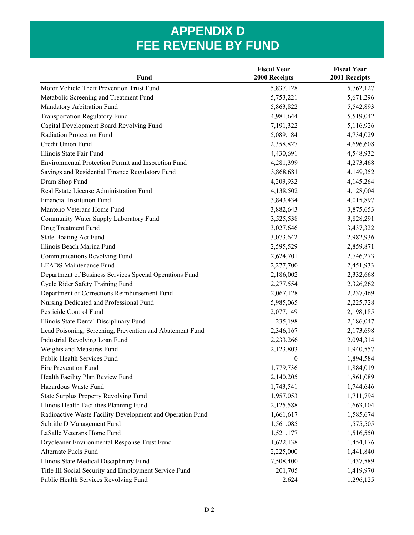|                                                           | <b>Fiscal Year</b> | <b>Fiscal Year</b> |
|-----------------------------------------------------------|--------------------|--------------------|
| <b>Fund</b>                                               | 2000 Receipts      | 2001 Receipts      |
| Motor Vehicle Theft Prevention Trust Fund                 | 5,837,128          | 5,762,127          |
| Metabolic Screening and Treatment Fund                    | 5,753,221          | 5,671,296          |
| Mandatory Arbitration Fund                                | 5,863,822          | 5,542,893          |
| <b>Transportation Regulatory Fund</b>                     | 4,981,644          | 5,519,042          |
| Capital Development Board Revolving Fund                  | 7,191,322          | 5,116,926          |
| Radiation Protection Fund                                 | 5,089,184          | 4,734,029          |
| Credit Union Fund                                         | 2,358,827          | 4,696,608          |
| Illinois State Fair Fund                                  | 4,430,691          | 4,548,932          |
| Environmental Protection Permit and Inspection Fund       | 4,281,399          | 4,273,468          |
| Savings and Residential Finance Regulatory Fund           | 3,868,681          | 4,149,352          |
| Dram Shop Fund                                            | 4,203,932          | 4,145,264          |
| Real Estate License Administration Fund                   | 4,138,502          | 4,128,004          |
| <b>Financial Institution Fund</b>                         | 3,843,434          | 4,015,897          |
| Manteno Veterans Home Fund                                | 3,882,643          | 3,875,653          |
| Community Water Supply Laboratory Fund                    | 3,525,538          | 3,828,291          |
| Drug Treatment Fund                                       | 3,027,646          | 3,437,322          |
| <b>State Boating Act Fund</b>                             | 3,073,642          | 2,982,936          |
| Illinois Beach Marina Fund                                | 2,595,529          | 2,859,871          |
| <b>Communications Revolving Fund</b>                      | 2,624,701          | 2,746,273          |
| <b>LEADS Maintenance Fund</b>                             | 2,277,700          | 2,451,933          |
| Department of Business Services Special Operations Fund   | 2,186,002          | 2,332,668          |
| Cycle Rider Safety Training Fund                          | 2,277,554          | 2,326,262          |
| Department of Corrections Reimbursement Fund              | 2,067,128          | 2,237,469          |
| Nursing Dedicated and Professional Fund                   | 5,985,065          | 2,225,728          |
| Pesticide Control Fund                                    | 2,077,149          | 2,198,185          |
| Illinois State Dental Disciplinary Fund                   | 235,198            | 2,186,047          |
| Lead Poisoning, Screening, Prevention and Abatement Fund  | 2,346,167          | 2,173,698          |
| Industrial Revolving Loan Fund                            | 2,233,266          | 2,094,314          |
| Weights and Measures Fund                                 | 2,123,803          | 1,940,557          |
| Public Health Services Fund                               | $\boldsymbol{0}$   | 1,894,584          |
| Fire Prevention Fund                                      | 1,779,736          | 1,884,019          |
| Health Facility Plan Review Fund                          | 2,140,205          | 1,861,089          |
| Hazardous Waste Fund                                      | 1,743,541          | 1,744,646          |
| <b>State Surplus Property Revolving Fund</b>              | 1,957,053          | 1,711,794          |
| Illinois Health Facilities Planning Fund                  | 2,125,588          | 1,663,104          |
| Radioactive Waste Facility Development and Operation Fund | 1,661,617          | 1,585,674          |
| Subtitle D Management Fund                                | 1,561,085          | 1,575,505          |
| LaSalle Veterans Home Fund                                | 1,521,177          | 1,516,550          |
| Drycleaner Environmental Response Trust Fund              | 1,622,138          | 1,454,176          |
| Alternate Fuels Fund                                      | 2,225,000          | 1,441,840          |
| Illinois State Medical Disciplinary Fund                  | 7,508,400          | 1,437,589          |
| Title III Social Security and Employment Service Fund     | 201,705            | 1,419,970          |
| Public Health Services Revolving Fund                     | 2,624              | 1,296,125          |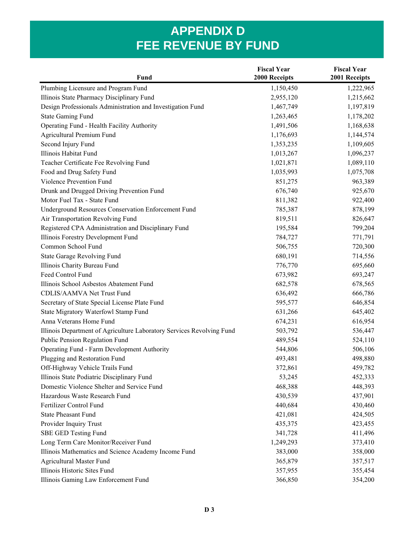|                                                                       | <b>Fiscal Year</b> | <b>Fiscal Year</b> |
|-----------------------------------------------------------------------|--------------------|--------------------|
| <b>Fund</b>                                                           | 2000 Receipts      | 2001 Receipts      |
| Plumbing Licensure and Program Fund                                   | 1,150,450          | 1,222,965          |
| Illinois State Pharmacy Disciplinary Fund                             | 2,955,120          | 1,215,662          |
| Design Professionals Administration and Investigation Fund            | 1,467,749          | 1,197,819          |
| <b>State Gaming Fund</b>                                              | 1,263,465          | 1,178,202          |
| Operating Fund - Health Facility Authority                            | 1,491,506          | 1,168,638          |
| Agricultural Premium Fund                                             | 1,176,693          | 1,144,574          |
| Second Injury Fund                                                    | 1,353,235          | 1,109,605          |
| Illinois Habitat Fund                                                 | 1,013,267          | 1,096,237          |
| Teacher Certificate Fee Revolving Fund                                | 1,021,871          | 1,089,110          |
| Food and Drug Safety Fund                                             | 1,035,993          | 1,075,708          |
| Violence Prevention Fund                                              | 851,275            | 963,389            |
| Drunk and Drugged Driving Prevention Fund                             | 676,740            | 925,670            |
| Motor Fuel Tax - State Fund                                           | 811,382            | 922,400            |
| <b>Underground Resources Conservation Enforcement Fund</b>            | 785,387            | 878,199            |
| Air Transportation Revolving Fund                                     | 819,511            | 826,647            |
| Registered CPA Administration and Disciplinary Fund                   | 195,584            | 799,204            |
| Illinois Forestry Development Fund                                    | 784,727            | 771,791            |
| Common School Fund                                                    | 506,755            | 720,300            |
| State Garage Revolving Fund                                           | 680,191            | 714,556            |
| Illinois Charity Bureau Fund                                          | 776,770            | 695,660            |
| Feed Control Fund                                                     | 673,982            | 693,247            |
| Illinois School Asbestos Abatement Fund                               | 682,578            | 678,565            |
| CDLIS/AAMVA Net Trust Fund                                            | 636,492            | 666,786            |
| Secretary of State Special License Plate Fund                         | 595,577            | 646,854            |
| State Migratory Waterfowl Stamp Fund                                  | 631,266            | 645,402            |
| Anna Veterans Home Fund                                               | 674,231            | 616,954            |
| Illinois Department of Agriculture Laboratory Services Revolving Fund | 503,792            | 536,447            |
| Public Pension Regulation Fund                                        | 489,554            | 524,110            |
| Operating Fund - Farm Development Authority                           | 544,806            | 506,106            |
| Plugging and Restoration Fund                                         | 493,481            | 498,880            |
| Off-Highway Vehicle Trails Fund                                       | 372,861            | 459,782            |
| Illinois State Podiatric Disciplinary Fund                            | 53,245             | 452,333            |
| Domestic Violence Shelter and Service Fund                            | 468,388            | 448,393            |
| Hazardous Waste Research Fund                                         | 430,539            | 437,901            |
| Fertilizer Control Fund                                               | 440,684            | 430,460            |
| <b>State Pheasant Fund</b>                                            | 421,081            | 424,505            |
| Provider Inquiry Trust                                                | 435,375            | 423,455            |
| <b>SBE GED Testing Fund</b>                                           | 341,728            | 411,496            |
| Long Term Care Monitor/Receiver Fund                                  | 1,249,293          | 373,410            |
| Illinois Mathematics and Science Academy Income Fund                  | 383,000            | 358,000            |
| <b>Agricultural Master Fund</b>                                       | 365,879            | 357,517            |
| Illinois Historic Sites Fund                                          | 357,955            | 355,454            |
| Illinois Gaming Law Enforcement Fund                                  | 366,850            | 354,200            |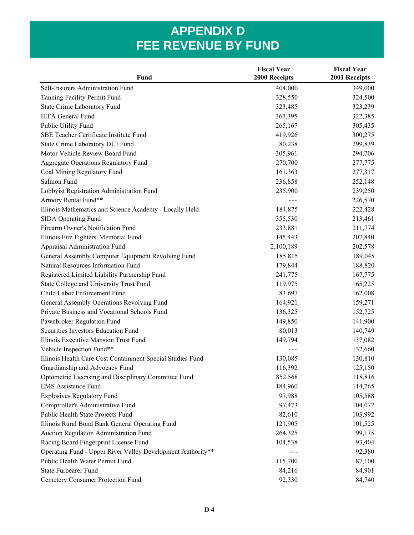| Fund                                                        | <b>Fiscal Year</b><br>2000 Receipts | <b>Fiscal Year</b><br>2001 Receipts |
|-------------------------------------------------------------|-------------------------------------|-------------------------------------|
| Self-Insurers Administration Fund                           | 404,000                             | 349,000                             |
| Tanning Facility Permit Fund                                | 328,550                             | 324,500                             |
| State Crime Laboratory Fund                                 | 323,485                             | 323,239                             |
| <b>IEFA General Fund</b>                                    | 367,395                             | 322,385                             |
| Public Utility Fund                                         | 265,167                             | 305,435                             |
| SBE Teacher Certificate Institute Fund                      | 419,926                             | 300,275                             |
| State Crime Laboratory DUI Fund                             | 80,238                              | 299,839                             |
| Motor Vehicle Review Board Fund                             | 305,961                             | 294,706                             |
| <b>Aggregate Operations Regulatory Fund</b>                 | 270,700                             | 277,775                             |
| Coal Mining Regulatory Fund                                 | 161,363                             | 277,317                             |
| Salmon Fund                                                 | 236,858                             | 252,148                             |
| Lobbyist Registration Administration Fund                   | 235,900                             | 239,250                             |
| Armory Rental Fund**                                        | $- - -$                             | 226,570                             |
| Illinois Mathematics and Science Academy - Locally Held     | 184,875                             | 222,428                             |
| SIDA Operating Fund                                         | 355,530                             | 213,461                             |
| Firearm Owner's Notification Fund                           | 233,881                             | 211,774                             |
| Illinois Fire Fighters' Memorial Fund                       | 145,443                             | 207,840                             |
| Appraisal Administration Fund                               | 2,100,189                           | 202,578                             |
| General Assembly Computer Equipment Revolving Fund          | 185,815                             | 189,045                             |
| Natural Resources Information Fund                          | 179,844                             | 188,820                             |
| Registered Limited Liability Partnership Fund               | 241,775                             | 167,775                             |
| State College and University Trust Fund                     | 119,975                             | 165,225                             |
| Child Labor Enforcement Fund                                | 83,697                              | 162,008                             |
| General Assembly Operations Revolving Fund                  | 164,921                             | 159,271                             |
| Private Business and Vocational Schools Fund                | 136,325                             | 152,725                             |
| Pawnbroker Regulation Fund                                  | 149,850                             | 141,900                             |
| Securities Investors Education Fund                         | 80,013                              | 140,749                             |
| Illinois Executive Mansion Trust Fund                       | 149,794                             | 137,082                             |
| Vehicle Inspection Fund**                                   | $- - -$                             | 132,660                             |
| Illinois Health Care Cost Containment Special Studies Fund  | 130,085                             | 130,810                             |
| Guardianship and Advocacy Fund                              | 116,392                             | 125,150                             |
| Optometric Licensing and Disciplinary Committee Fund        | 852,568                             | 118,816                             |
| <b>EMS Assistance Fund</b>                                  | 184,960                             | 114,765                             |
| <b>Explosives Regulatory Fund</b>                           | 97,988                              | 105,588                             |
| Comptroller's Administrative Fund                           | 97,473                              | 104,072                             |
| Public Health State Projects Fund                           | 82,610                              | 103,992                             |
| Illinois Rural Bond Bank General Operating Fund             | 121,905                             | 101,525                             |
| Auction Regulation Administration Fund                      | 264,325                             | 99,175                              |
| Racing Board Fingerprint License Fund                       | 104,538                             | 93,404                              |
| Operating Fund - Upper River Valley Development Authority** |                                     | 92,380                              |
| Public Health Water Permit Fund                             | 115,700                             | 87,100                              |
| <b>State Furbearer Fund</b>                                 | 84,216                              | 84,901                              |
| Cemetery Consumer Protection Fund                           | 92,330                              | 84,740                              |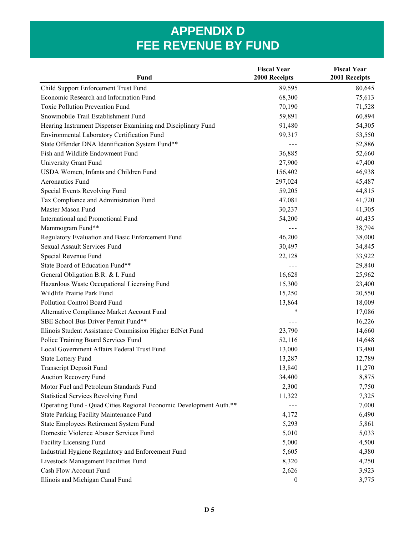|                                                                    | <b>Fiscal Year</b>   | <b>Fiscal Year</b> |
|--------------------------------------------------------------------|----------------------|--------------------|
| <b>Fund</b>                                                        | 2000 Receipts        | 2001 Receipts      |
| Child Support Enforcement Trust Fund                               | 89,595               | 80,645             |
| Economic Research and Information Fund                             | 68,300               | 75,613             |
| <b>Toxic Pollution Prevention Fund</b>                             | 70,190               | 71,528             |
| Snowmobile Trail Establishment Fund                                | 59,891               | 60,894             |
| Hearing Instrument Dispenser Examining and Disciplinary Fund       | 91,480               | 54,305             |
| Environmental Laboratory Certification Fund                        | 99,317               | 53,550             |
| State Offender DNA Identification System Fund**                    | $\sim$ $\sim$ $\sim$ | 52,886             |
| Fish and Wildlife Endowment Fund                                   | 36,885               | 52,660             |
| University Grant Fund                                              | 27,900               | 47,400             |
| USDA Women, Infants and Children Fund                              | 156,402              | 46,938             |
| <b>Aeronautics Fund</b>                                            | 297,024              | 45,487             |
| Special Events Revolving Fund                                      | 59,205               | 44,815             |
| Tax Compliance and Administration Fund                             | 47,081               | 41,720             |
| Master Mason Fund                                                  | 30,237               | 41,305             |
| International and Promotional Fund                                 | 54,200               | 40,435             |
| Mammogram Fund**                                                   | $- - -$              | 38,794             |
| Regulatory Evaluation and Basic Enforcement Fund                   | 46,200               | 38,000             |
| <b>Sexual Assault Services Fund</b>                                | 30,497               | 34,845             |
| Special Revenue Fund                                               | 22,128               | 33,922             |
| State Board of Education Fund**                                    |                      | 29,840             |
| General Obligation B.R. & I. Fund                                  | 16,628               | 25,962             |
| Hazardous Waste Occupational Licensing Fund                        | 15,300               | 23,400             |
| Wildlife Prairie Park Fund                                         | 15,250               | 20,550             |
| Pollution Control Board Fund                                       | 13,864               | 18,009             |
| Alternative Compliance Market Account Fund                         | *                    | 17,086             |
| SBE School Bus Driver Permit Fund**                                | $- - -$              | 16,226             |
| Illinois Student Assistance Commission Higher EdNet Fund           | 23,790               | 14,660             |
| Police Training Board Services Fund                                | 52,116               | 14,648             |
| Local Government Affairs Federal Trust Fund                        | 13,000               | 13,480             |
| <b>State Lottery Fund</b>                                          | 13,287               | 12,789             |
| <b>Transcript Deposit Fund</b>                                     | 13,840               | 11,270             |
| Auction Recovery Fund                                              | 34,400               | 8,875              |
| Motor Fuel and Petroleum Standards Fund                            | 2,300                | 7,750              |
| <b>Statistical Services Revolving Fund</b>                         | 11,322               | 7,325              |
| Operating Fund - Quad Cities Regional Economic Development Auth.** |                      | 7,000              |
| State Parking Facility Maintenance Fund                            | 4,172                | 6,490              |
| State Employees Retirement System Fund                             | 5,293                | 5,861              |
| Domestic Violence Abuser Services Fund                             | 5,010                | 5,033              |
| Facility Licensing Fund                                            | 5,000                | 4,500              |
| Industrial Hygiene Regulatory and Enforcement Fund                 | 5,605                | 4,380              |
| Livestock Management Facilities Fund                               | 8,320                | 4,250              |
| Cash Flow Account Fund                                             | 2,626                | 3,923              |
| Illinois and Michigan Canal Fund                                   | $\boldsymbol{0}$     | 3,775              |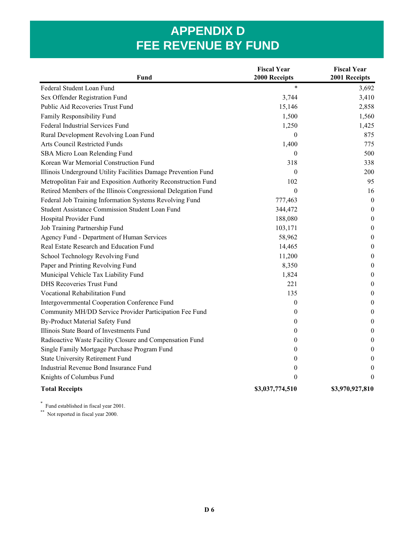| Fund                                                           | <b>Fiscal Year</b><br>2000 Receipts | <b>Fiscal Year</b><br>2001 Receipts |
|----------------------------------------------------------------|-------------------------------------|-------------------------------------|
| Federal Student Loan Fund                                      | $\star$                             | 3,692                               |
| Sex Offender Registration Fund                                 | 3,744                               | 3,410                               |
| Public Aid Recoveries Trust Fund                               | 15,146                              | 2,858                               |
| Family Responsibility Fund                                     | 1,500                               | 1,560                               |
| Federal Industrial Services Fund                               | 1,250                               | 1,425                               |
| Rural Development Revolving Loan Fund                          | $\theta$                            | 875                                 |
| Arts Council Restricted Funds                                  | 1,400                               | 775                                 |
| SBA Micro Loan Relending Fund                                  | 0                                   | 500                                 |
| Korean War Memorial Construction Fund                          | 318                                 | 338                                 |
| Illinois Underground Utility Facilities Damage Prevention Fund | $\theta$                            | 200                                 |
| Metropolitan Fair and Exposition Authority Reconstruction Fund | 102                                 | 95                                  |
| Retired Members of the Illinois Congressional Delegation Fund  | $\boldsymbol{0}$                    | 16                                  |
| Federal Job Training Information Systems Revolving Fund        | 777,463                             | $\theta$                            |
| <b>Student Assistance Commission Student Loan Fund</b>         | 344,472                             | $\theta$                            |
| Hospital Provider Fund                                         | 188,080                             | $\theta$                            |
| Job Training Partnership Fund                                  | 103,171                             | $\theta$                            |
| Agency Fund - Department of Human Services                     | 58,962                              | $\theta$                            |
| Real Estate Research and Education Fund                        | 14,465                              | $\boldsymbol{0}$                    |
| School Technology Revolving Fund                               | 11,200                              | $\theta$                            |
| Paper and Printing Revolving Fund                              | 8,350                               | $\theta$                            |
| Municipal Vehicle Tax Liability Fund                           | 1,824                               | $\boldsymbol{0}$                    |
| <b>DHS Recoveries Trust Fund</b>                               | 221                                 | $\boldsymbol{0}$                    |
| Vocational Rehabilitation Fund                                 | 135                                 | $\boldsymbol{0}$                    |
| Intergovernmental Cooperation Conference Fund                  | $\boldsymbol{0}$                    | $\theta$                            |
| Community MH/DD Service Provider Participation Fee Fund        | $\boldsymbol{0}$                    | $\boldsymbol{0}$                    |
| By-Product Material Safety Fund                                | 0                                   | $\boldsymbol{0}$                    |
| Illinois State Board of Investments Fund                       | 0                                   | $\boldsymbol{0}$                    |
| Radioactive Waste Facility Closure and Compensation Fund       | 0                                   | $\boldsymbol{0}$                    |
| Single Family Mortgage Purchase Program Fund                   | 0                                   | $\boldsymbol{0}$                    |
| <b>State University Retirement Fund</b>                        | 0                                   | $\boldsymbol{0}$                    |
| Industrial Revenue Bond Insurance Fund                         | 0                                   | $\boldsymbol{0}$                    |
| Knights of Columbus Fund                                       | $\theta$                            | $\theta$                            |
| <b>Total Receipts</b>                                          | \$3,037,774,510                     | \$3,970,927,810                     |

\* Fund established in fiscal year 2001.

\*\* Not reported in fiscal year 2000.